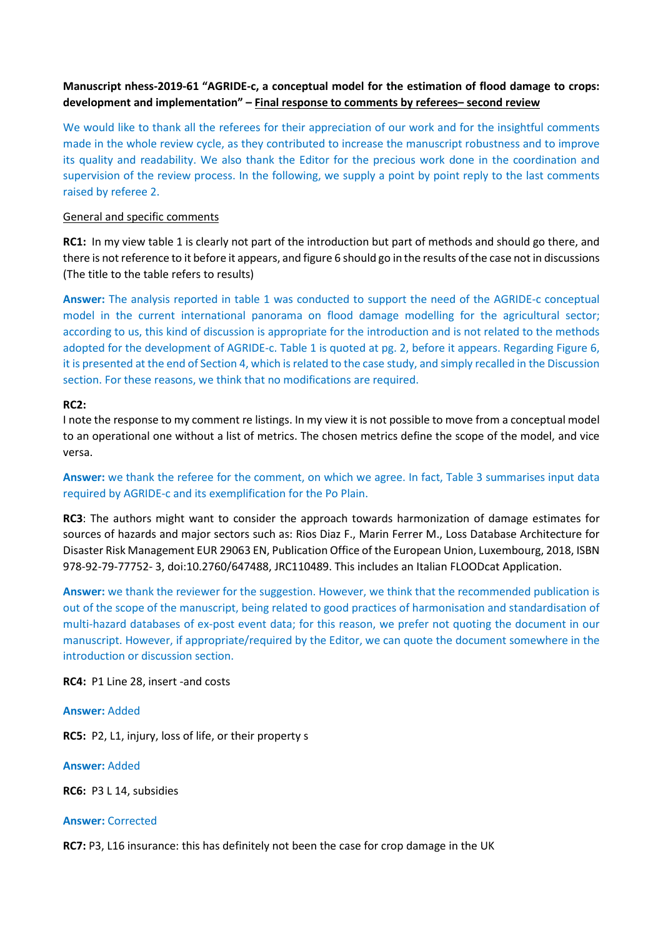# **Manuscript nhess-2019-61 "AGRIDE-c, a conceptual model for the estimation of flood damage to crops: development and implementation" – Final response to comments by referees– second review**

We would like to thank all the referees for their appreciation of our work and for the insightful comments made in the whole review cycle, as they contributed to increase the manuscript robustness and to improve its quality and readability. We also thank the Editor for the precious work done in the coordination and supervision of the review process. In the following, we supply a point by point reply to the last comments raised by referee 2.

## General and specific comments

**RC1:** In my view table 1 is clearly not part of the introduction but part of methods and should go there, and there is not reference to it before it appears, and figure 6 should go in the results of the case not in discussions (The title to the table refers to results)

**Answer:** The analysis reported in table 1 was conducted to support the need of the AGRIDE-c conceptual model in the current international panorama on flood damage modelling for the agricultural sector; according to us, this kind of discussion is appropriate for the introduction and is not related to the methods adopted for the development of AGRIDE-c. Table 1 is quoted at pg. 2, before it appears. Regarding Figure 6, it is presented at the end of Section 4, which is related to the case study, and simply recalled in the Discussion section. For these reasons, we think that no modifications are required.

## **RC2:**

I note the response to my comment re listings. In my view it is not possible to move from a conceptual model to an operational one without a list of metrics. The chosen metrics define the scope of the model, and vice versa.

**Answer:** we thank the referee for the comment, on which we agree. In fact, Table 3 summarises input data required by AGRIDE-c and its exemplification for the Po Plain.

**RC3**: The authors might want to consider the approach towards harmonization of damage estimates for sources of hazards and major sectors such as: Rios Diaz F., Marin Ferrer M., Loss Database Architecture for Disaster Risk Management EUR 29063 EN, Publication Office of the European Union, Luxembourg, 2018, ISBN 978-92-79-77752- 3, doi:10.2760/647488, JRC110489. This includes an Italian FLOODcat Application.

**Answer:** we thank the reviewer for the suggestion. However, we think that the recommended publication is out of the scope of the manuscript, being related to good practices of harmonisation and standardisation of multi-hazard databases of ex-post event data; for this reason, we prefer not quoting the document in our manuscript. However, if appropriate/required by the Editor, we can quote the document somewhere in the introduction or discussion section.

**RC4:** P1 Line 28, insert -and costs

## **Answer:** Added

**RC5:** P2, L1, injury, loss of life, or their property s

## **Answer:** Added

**RC6:** P3 L 14, subsidies

## **Answer:** Corrected

**RC7:** P3, L16 insurance: this has definitely not been the case for crop damage in the UK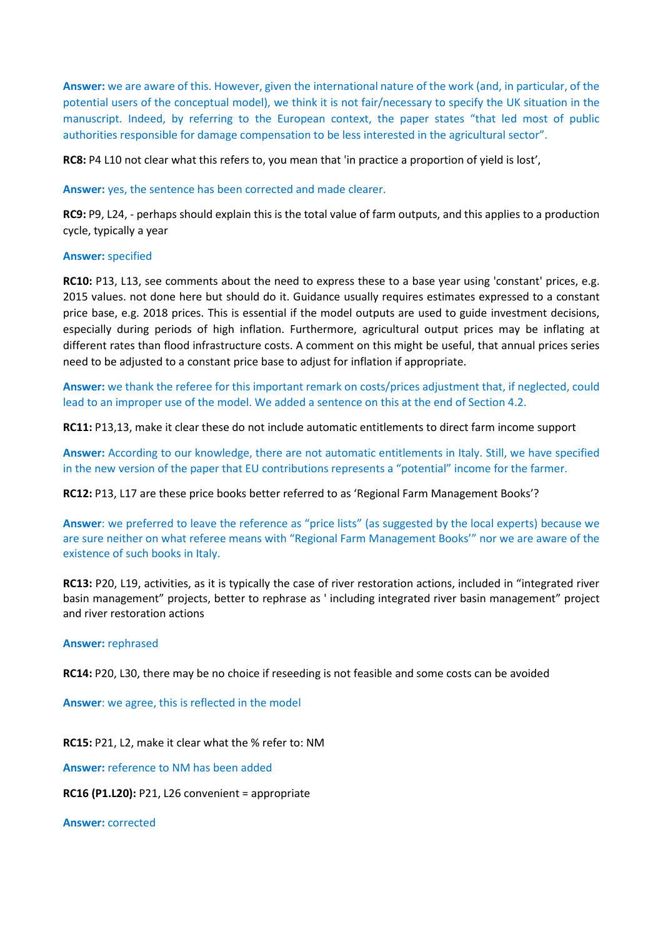**Answer:** we are aware of this. However, given the international nature of the work (and, in particular, of the potential users of the conceptual model), we think it is not fair/necessary to specify the UK situation in the manuscript. Indeed, by referring to the European context, the paper states "that led most of public authorities responsible for damage compensation to be less interested in the agricultural sector".

**RC8:** P4 L10 not clear what this refers to, you mean that 'in practice a proportion of yield is lost',

**Answer:** yes, the sentence has been corrected and made clearer.

**RC9:** P9, L24, - perhaps should explain this is the total value of farm outputs, and this applies to a production cycle, typically a year

## **Answer:** specified

**RC10:** P13, L13, see comments about the need to express these to a base year using 'constant' prices, e.g. 2015 values. not done here but should do it. Guidance usually requires estimates expressed to a constant price base, e.g. 2018 prices. This is essential if the model outputs are used to guide investment decisions, especially during periods of high inflation. Furthermore, agricultural output prices may be inflating at different rates than flood infrastructure costs. A comment on this might be useful, that annual prices series need to be adjusted to a constant price base to adjust for inflation if appropriate.

**Answer:** we thank the referee for this important remark on costs/prices adjustment that, if neglected, could lead to an improper use of the model. We added a sentence on this at the end of Section 4.2.

**RC11:** P13,13, make it clear these do not include automatic entitlements to direct farm income support

**Answer:** According to our knowledge, there are not automatic entitlements in Italy. Still, we have specified in the new version of the paper that EU contributions represents a "potential" income for the farmer.

**RC12:** P13, L17 are these price books better referred to as 'Regional Farm Management Books'?

**Answer**: we preferred to leave the reference as "price lists" (as suggested by the local experts) because we are sure neither on what referee means with "Regional Farm Management Books'" nor we are aware of the existence of such books in Italy.

**RC13:** P20, L19, activities, as it is typically the case of river restoration actions, included in "integrated river basin management" projects, better to rephrase as ' including integrated river basin management" project and river restoration actions

## **Answer:** rephrased

**RC14:** P20, L30, there may be no choice if reseeding is not feasible and some costs can be avoided

**Answer**: we agree, this is reflected in the model

**RC15:** P21, L2, make it clear what the % refer to: NM

**Answer:** reference to NM has been added

**RC16 (P1.L20):** P21, L26 convenient = appropriate

**Answer:** corrected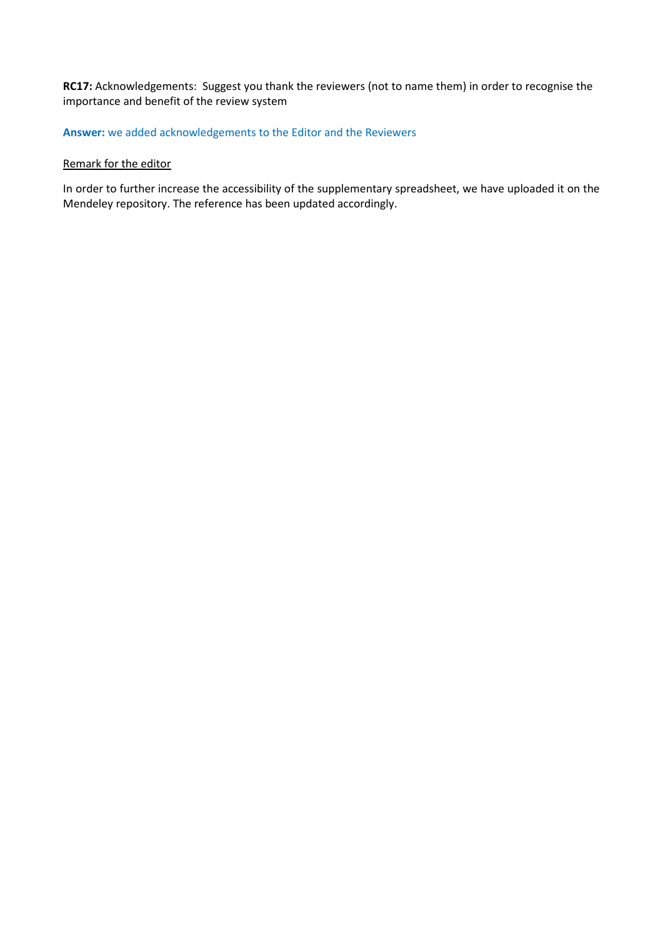# **RC17:** Acknowledgements: Suggest you thank the reviewers (not to name them) in order to recognise the importance and benefit of the review system

# **Answer:** we added acknowledgements to the Editor and the Reviewers

## Remark for the editor

In order to further increase the accessibility of the supplementary spreadsheet, we have uploaded it on the Mendeley repository. The reference has been updated accordingly.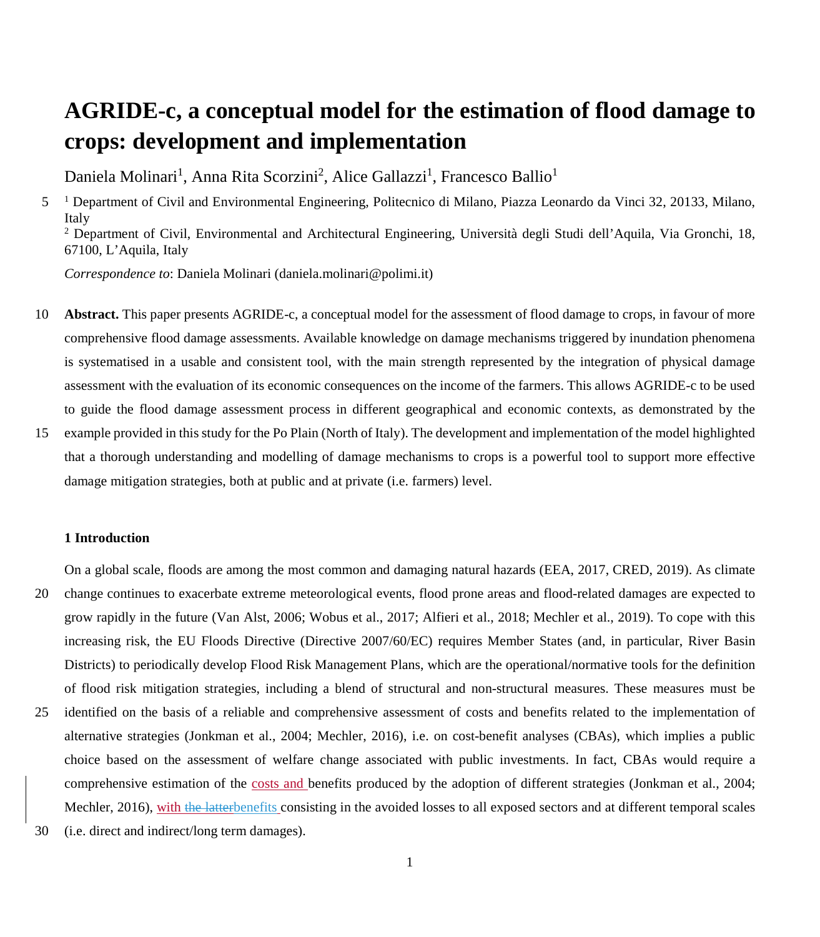# **AGRIDE-c, a conceptual model for the estimation of flood damage to crops: development and implementation**

Daniela Molinari<sup>1</sup>, Anna Rita Scorzini<sup>2</sup>, Alice Gallazzi<sup>1</sup>, Francesco Ballio<sup>1</sup>

5 <sup>1</sup> Department of Civil and Environmental Engineering, Politecnico di Milano, Piazza Leonardo da Vinci 32, 20133, Milano, Italy <sup>2</sup> Department of Civil, Environmental and Architectural Engineering, Università degli Studi dell'Aquila, Via Gronchi, 18,

67100, L'Aquila, Italy

*Correspondence to*: Daniela Molinari (daniela.molinari@polimi.it)

- 10 **Abstract.** This paper presents AGRIDE-c, a conceptual model for the assessment of flood damage to crops, in favour of more comprehensive flood damage assessments. Available knowledge on damage mechanisms triggered by inundation phenomena is systematised in a usable and consistent tool, with the main strength represented by the integration of physical damage assessment with the evaluation of its economic consequences on the income of the farmers. This allows AGRIDE-c to be used to guide the flood damage assessment process in different geographical and economic contexts, as demonstrated by the
- 15 example provided in this study for the Po Plain (North of Italy). The development and implementation of the model highlighted that a thorough understanding and modelling of damage mechanisms to crops is a powerful tool to support more effective damage mitigation strategies, both at public and at private (i.e. farmers) level.

#### **1 Introduction**

On a global scale, floods are among the most common and damaging natural hazards (EEA, 2017, CRED, 2019). As climate

- 20 change continues to exacerbate extreme meteorological events, flood prone areas and flood-related damages are expected to grow rapidly in the future (Van Alst, 2006; Wobus et al., 2017; Alfieri et al., 2018; Mechler et al., 2019). To cope with this increasing risk, the EU Floods Directive (Directive 2007/60/EC) requires Member States (and, in particular, River Basin Districts) to periodically develop Flood Risk Management Plans, which are the operational/normative tools for the definition of flood risk mitigation strategies, including a blend of structural and non-structural measures. These measures must be
- 25 identified on the basis of a reliable and comprehensive assessment of costs and benefits related to the implementation of alternative strategies (Jonkman et al., 2004; Mechler, 2016), i.e. on cost-benefit analyses (CBAs), which implies a public choice based on the assessment of welfare change associated with public investments. In fact, CBAs would require a comprehensive estimation of the costs and benefits produced by the adoption of different strategies (Jonkman et al., 2004; Mechler, 2016), with the latterbenefits consisting in the avoided losses to all exposed sectors and at different temporal scales
- 30 (i.e. direct and indirect/long term damages).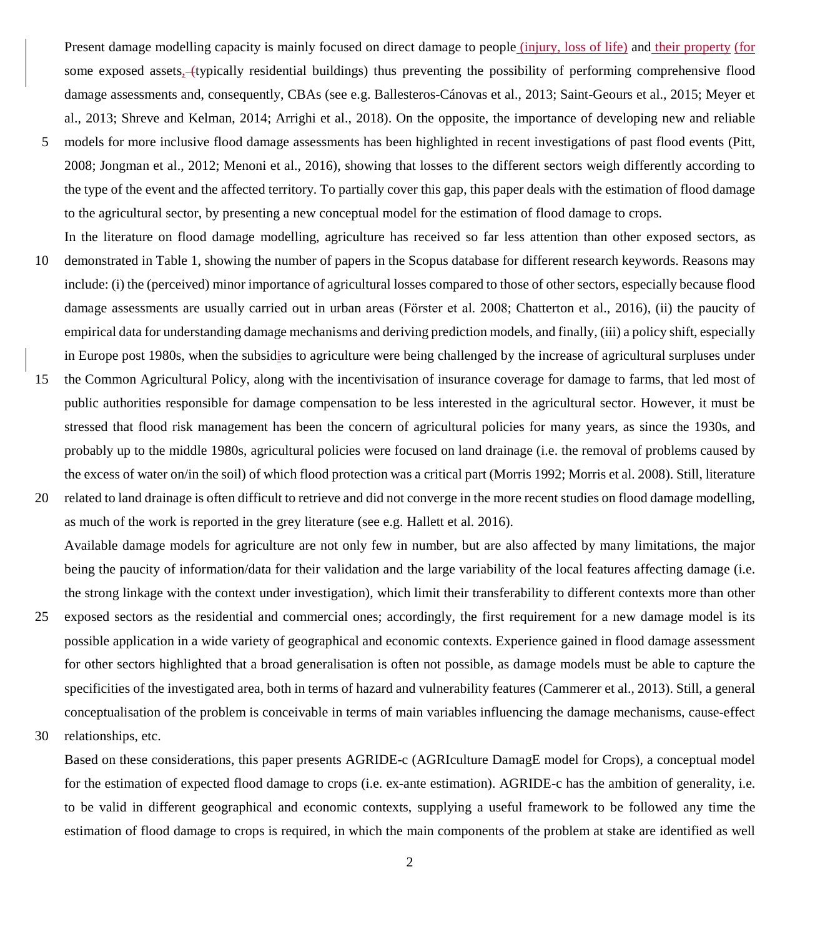Present damage modelling capacity is mainly focused on direct damage to people (injury, loss of life) and their property (for some exposed assets, (typically residential buildings) thus preventing the possibility of performing comprehensive flood damage assessments and, consequently, CBAs (see e.g. Ballesteros-Cánovas et al., 2013; Saint-Geours et al., 2015; Meyer et al., 2013; Shreve and Kelman, 2014; Arrighi et al., 2018). On the opposite, the importance of developing new and reliable

5 models for more inclusive flood damage assessments has been highlighted in recent investigations of past flood events (Pitt, 2008; Jongman et al., 2012; Menoni et al., 2016), showing that losses to the different sectors weigh differently according to the type of the event and the affected territory. To partially cover this gap, this paper deals with the estimation of flood damage to the agricultural sector, by presenting a new conceptual model for the estimation of flood damage to crops.

In the literature on flood damage modelling, agriculture has received so far less attention than other exposed sectors, as

- 10 demonstrated in Table 1, showing the number of papers in the Scopus database for different research keywords. Reasons may include: (i) the (perceived) minor importance of agricultural losses compared to those of other sectors, especially because flood damage assessments are usually carried out in urban areas (Fӧrster et al. 2008; Chatterton et al., 2016), (ii) the paucity of empirical data for understanding damage mechanisms and deriving prediction models, and finally, (iii) a policy shift, especially in Europe post 1980s, when the subsidies to agriculture were being challenged by the increase of agricultural surpluses under
- 15 the Common Agricultural Policy, along with the incentivisation of insurance coverage for damage to farms, that led most of public authorities responsible for damage compensation to be less interested in the agricultural sector. However, it must be stressed that flood risk management has been the concern of agricultural policies for many years, as since the 1930s, and probably up to the middle 1980s, agricultural policies were focused on land drainage (i.e. the removal of problems caused by the excess of water on/in the soil) of which flood protection was a critical part (Morris 1992; Morris et al. 2008). Still, literature
- 20 related to land drainage is often difficult to retrieve and did not converge in the more recent studies on flood damage modelling, as much of the work is reported in the grey literature (see e.g. Hallett et al. 2016). Available damage models for agriculture are not only few in number, but are also affected by many limitations, the major being the paucity of information/data for their validation and the large variability of the local features affecting damage (i.e. the strong linkage with the context under investigation), which limit their transferability to different contexts more than other
- 25 exposed sectors as the residential and commercial ones; accordingly, the first requirement for a new damage model is its possible application in a wide variety of geographical and economic contexts. Experience gained in flood damage assessment for other sectors highlighted that a broad generalisation is often not possible, as damage models must be able to capture the specificities of the investigated area, both in terms of hazard and vulnerability features (Cammerer et al., 2013). Still, a general conceptualisation of the problem is conceivable in terms of main variables influencing the damage mechanisms, cause-effect
- 30 relationships, etc.

Based on these considerations, this paper presents AGRIDE-c (AGRIculture DamagE model for Crops), a conceptual model for the estimation of expected flood damage to crops (i.e. ex-ante estimation). AGRIDE-c has the ambition of generality, i.e. to be valid in different geographical and economic contexts, supplying a useful framework to be followed any time the estimation of flood damage to crops is required, in which the main components of the problem at stake are identified as well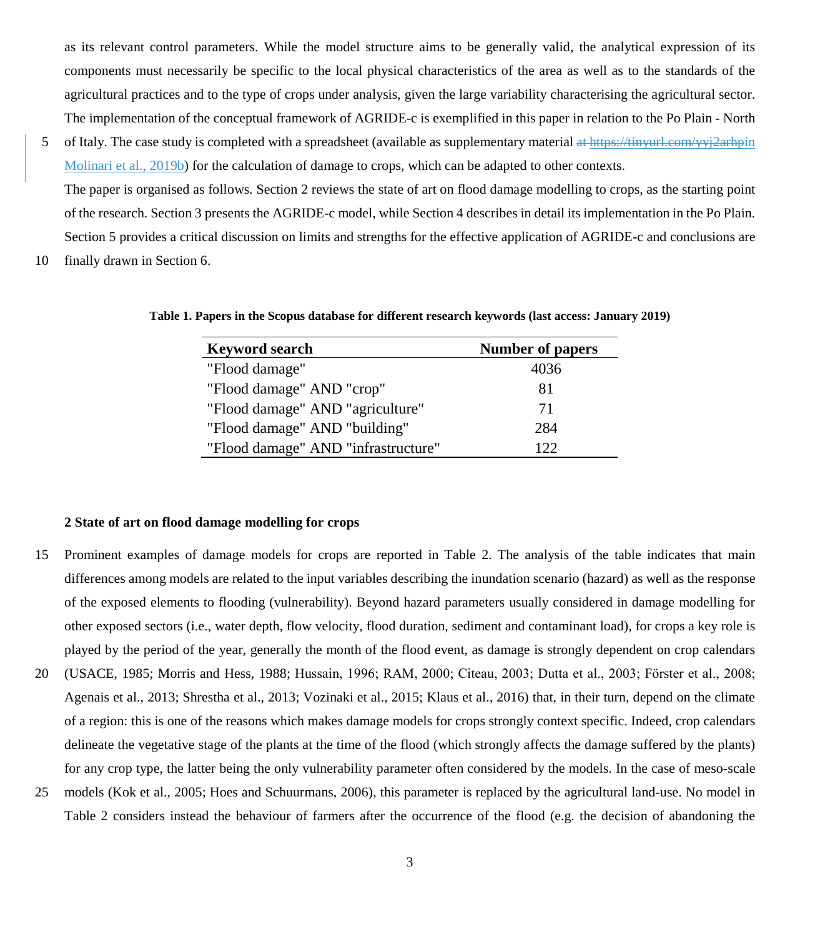as its relevant control parameters. While the model structure aims to be generally valid, the analytical expression of its components must necessarily be specific to the local physical characteristics of the area as well as to the standards of the agricultural practices and to the type of crops under analysis, given the large variability characterising the agricultural sector. The implementation of the conceptual framework of AGRIDE-c is exemplified in this paper in relation to the Po Plain - North

5 of Italy. The case study is completed with a spreadsheet (available as supplementary material at https://tinyurl.com/yyj2arhpin Molinari et al., 2019b) for the calculation of damage to crops, which can be adapted to other contexts.

The paper is organised as follows. Section 2 reviews the state of art on flood damage modelling to crops, as the starting point of the research. Section 3 presents the AGRIDE-c model, while Section 4 describes in detail its implementation in the Po Plain. Section 5 provides a critical discussion on limits and strengths for the effective application of AGRIDE-c and conclusions are

10 finally drawn in Section 6.

**Table 1. Papers in the Scopus database for different research keywords (last access: January 2019)**

| <b>Keyword search</b>               | <b>Number of papers</b> |
|-------------------------------------|-------------------------|
| "Flood damage"                      | 4036                    |
| "Flood damage" AND "crop"           | 81                      |
| "Flood damage" AND "agriculture"    | 71                      |
| "Flood damage" AND "building"       | 284                     |
| "Flood damage" AND "infrastructure" | 122                     |

#### **2 State of art on flood damage modelling for crops**

- 15 Prominent examples of damage models for crops are reported in Table 2. The analysis of the table indicates that main differences among models are related to the input variables describing the inundation scenario (hazard) as well as the response of the exposed elements to flooding (vulnerability). Beyond hazard parameters usually considered in damage modelling for other exposed sectors (i.e., water depth, flow velocity, flood duration, sediment and contaminant load), for crops a key role is played by the period of the year, generally the month of the flood event, as damage is strongly dependent on crop calendars
- 20 (USACE, 1985; Morris and Hess, 1988; Hussain, 1996; RAM, 2000; Citeau, 2003; Dutta et al., 2003; Fӧrster et al., 2008; Agenais et al., 2013; Shrestha et al., 2013; Vozinaki et al., 2015; Klaus et al., 2016) that, in their turn, depend on the climate of a region: this is one of the reasons which makes damage models for crops strongly context specific. Indeed, crop calendars delineate the vegetative stage of the plants at the time of the flood (which strongly affects the damage suffered by the plants) for any crop type, the latter being the only vulnerability parameter often considered by the models. In the case of meso-scale
- 25 models (Kok et al., 2005; Hoes and Schuurmans, 2006), this parameter is replaced by the agricultural land-use. No model in Table 2 considers instead the behaviour of farmers after the occurrence of the flood (e.g. the decision of abandoning the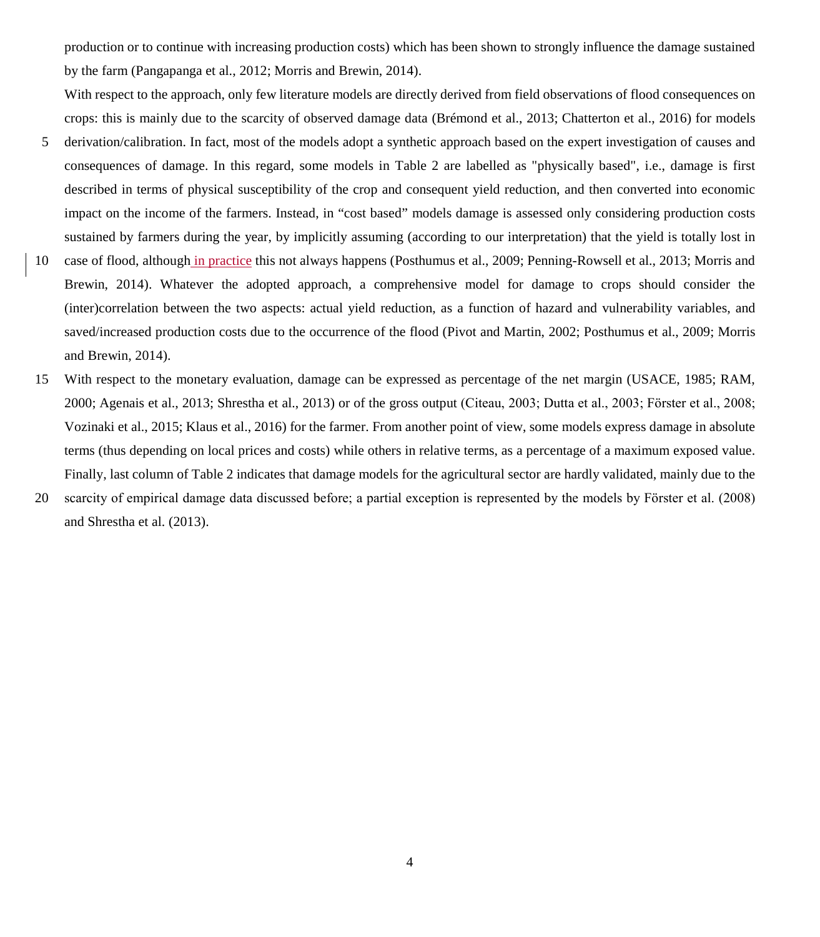production or to continue with increasing production costs) which has been shown to strongly influence the damage sustained by the farm (Pangapanga et al., 2012; Morris and Brewin, 2014).

With respect to the approach, only few literature models are directly derived from field observations of flood consequences on crops: this is mainly due to the scarcity of observed damage data (Brémond et al., 2013; Chatterton et al., 2016) for models

- 5 derivation/calibration. In fact, most of the models adopt a synthetic approach based on the expert investigation of causes and consequences of damage. In this regard, some models in Table 2 are labelled as "physically based", i.e., damage is first described in terms of physical susceptibility of the crop and consequent yield reduction, and then converted into economic impact on the income of the farmers. Instead, in "cost based" models damage is assessed only considering production costs sustained by farmers during the year, by implicitly assuming (according to our interpretation) that the yield is totally lost in
- 10 case of flood, although in practice this not always happens (Posthumus et al., 2009; Penning-Rowsell et al., 2013; Morris and Brewin, 2014). Whatever the adopted approach, a comprehensive model for damage to crops should consider the (inter)correlation between the two aspects: actual yield reduction, as a function of hazard and vulnerability variables, and saved/increased production costs due to the occurrence of the flood (Pivot and Martin, 2002; Posthumus et al., 2009; Morris and Brewin, 2014).
- 15 With respect to the monetary evaluation, damage can be expressed as percentage of the net margin (USACE, 1985; RAM, 2000; Agenais et al., 2013; Shrestha et al., 2013) or of the gross output (Citeau, 2003; Dutta et al., 2003; Fӧrster et al., 2008; Vozinaki et al., 2015; Klaus et al., 2016) for the farmer. From another point of view, some models express damage in absolute terms (thus depending on local prices and costs) while others in relative terms, as a percentage of a maximum exposed value. Finally, last column of Table 2 indicates that damage models for the agricultural sector are hardly validated, mainly due to the
- 20 scarcity of empirical damage data discussed before; a partial exception is represented by the models by Fӧrster et al. (2008) and Shrestha et al. (2013).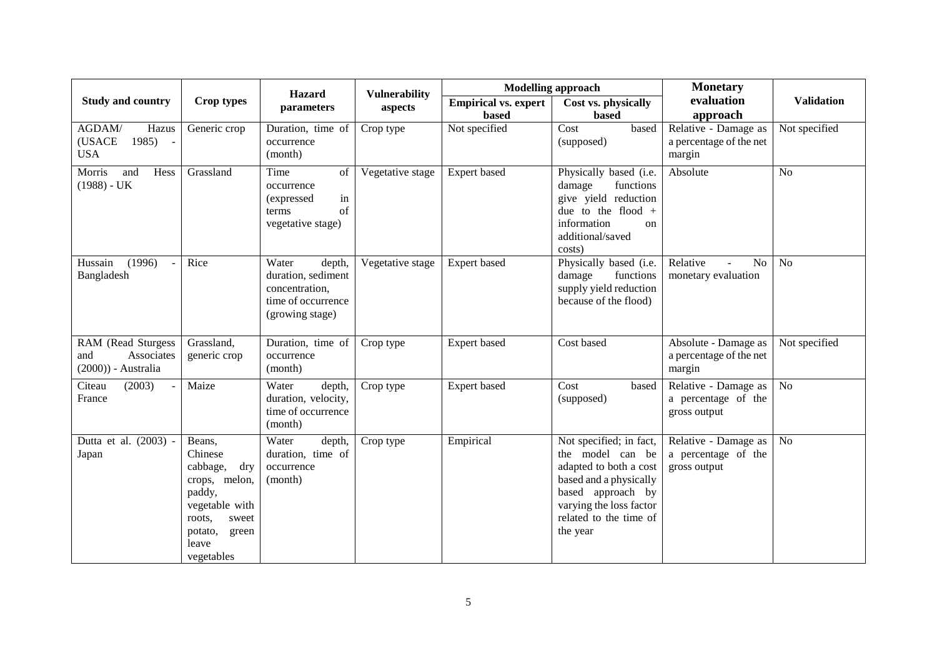|                                                                  |                                                                                                                                                 | <b>Hazard</b>                                                                                    | <b>Vulnerability</b> |                                      | <b>Modelling approach</b>                                                                                                                                                             | <b>Monetary</b>                                             |                   |
|------------------------------------------------------------------|-------------------------------------------------------------------------------------------------------------------------------------------------|--------------------------------------------------------------------------------------------------|----------------------|--------------------------------------|---------------------------------------------------------------------------------------------------------------------------------------------------------------------------------------|-------------------------------------------------------------|-------------------|
| <b>Study and country</b>                                         | Crop types                                                                                                                                      | parameters                                                                                       | aspects              | <b>Empirical vs. expert</b><br>based | Cost vs. physically<br><b>based</b>                                                                                                                                                   | evaluation<br>approach                                      | <b>Validation</b> |
| AGDAM/<br>Hazus<br>(USACE<br>1985)<br>$\sim$ $-$<br><b>USA</b>   | Generic crop                                                                                                                                    | Duration, time of<br>occurrence<br>(month)                                                       | Crop type            | Not specified                        | Cost<br>based<br>(supposed)                                                                                                                                                           | Relative - Damage as<br>a percentage of the net<br>margin   | Not specified     |
| Morris<br>and<br>Hess<br>$(1988) - UK$                           | Grassland                                                                                                                                       | Time<br>of<br>occurrence<br>in<br>(expressed)<br>of<br>terms<br>vegetative stage)                | Vegetative stage     | Expert based                         | Physically based (i.e.<br>functions<br>damage<br>give yield reduction<br>due to the flood $+$<br>information<br>on<br>additional/saved<br>costs)                                      | Absolute                                                    | N <sub>o</sub>    |
| (1996)<br>Hussain<br>$\overline{\phantom{a}}$<br>Bangladesh      | Rice                                                                                                                                            | Water<br>depth,<br>duration, sediment<br>concentration,<br>time of occurrence<br>(growing stage) | Vegetative stage     | Expert based                         | Physically based (i.e.<br>damage<br>functions<br>supply yield reduction<br>because of the flood)                                                                                      | Relative<br>N <sub>o</sub><br>monetary evaluation           | N <sub>o</sub>    |
| RAM (Read Sturgess<br>Associates<br>and<br>$(2000))$ - Australia | Grassland,<br>generic crop                                                                                                                      | Duration, time of<br>occurrence<br>(month)                                                       | Crop type            | Expert based                         | Cost based                                                                                                                                                                            | Absolute - Damage as<br>a percentage of the net<br>margin   | Not specified     |
| (2003)<br>Citeau<br>France                                       | Maize                                                                                                                                           | Water<br>depth,<br>duration, velocity,<br>time of occurrence<br>(month)                          | Crop type            | Expert based                         | Cost<br>based<br>(supposed)                                                                                                                                                           | Relative - Damage as<br>a percentage of the<br>gross output | N <sub>o</sub>    |
| Dutta et al. (2003) -<br>Japan                                   | Beans,<br>Chinese<br>cabbage,<br>dry<br>crops, melon,<br>paddy,<br>vegetable with<br>roots,<br>sweet<br>potato,<br>green<br>leave<br>vegetables | depth,<br>Water<br>duration, time of<br>occurrence<br>(month)                                    | Crop type            | Empirical                            | Not specified; in fact,<br>the model can be<br>adapted to both a cost<br>based and a physically<br>based approach by<br>varying the loss factor<br>related to the time of<br>the year | Relative - Damage as<br>a percentage of the<br>gross output | N <sub>o</sub>    |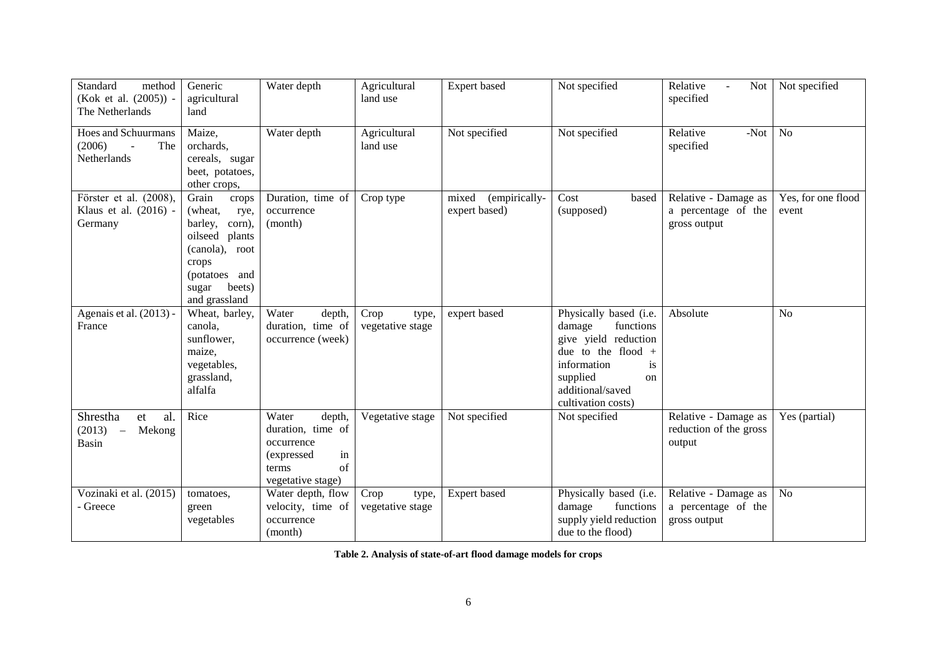| Standard<br>method<br>(Kok et al. (2005)) -<br>The Netherlands                 | Generic<br>agricultural<br>land                                                                                                                             | Water depth                                                                                                | Agricultural<br>land use          | Expert based                            | Not specified                                                                                                                                                                         | Relative<br><b>Not</b><br>specified                         | Not specified               |
|--------------------------------------------------------------------------------|-------------------------------------------------------------------------------------------------------------------------------------------------------------|------------------------------------------------------------------------------------------------------------|-----------------------------------|-----------------------------------------|---------------------------------------------------------------------------------------------------------------------------------------------------------------------------------------|-------------------------------------------------------------|-----------------------------|
| <b>Hoes and Schuurmans</b><br>(2006)<br>The<br>Netherlands                     | Maize,<br>orchards,<br>cereals, sugar<br>beet, potatoes,<br>other crops,                                                                                    | Water depth                                                                                                | Agricultural<br>land use          | Not specified                           | Not specified                                                                                                                                                                         | Relative<br>$-Not$<br>specified                             | N <sub>o</sub>              |
| Förster et al. (2008),<br>Klaus et al. (2016) -<br>Germany                     | Grain<br>crops<br>(wheat,<br>rye,<br>barley,<br>corn),<br>oilseed<br>plants<br>(canola), root<br>crops<br>(potatoes and<br>beets)<br>sugar<br>and grassland | Duration, time of<br>occurrence<br>(month)                                                                 | Crop type                         | (empirically-<br>mixed<br>expert based) | Cost<br>based<br>(supposed)                                                                                                                                                           | Relative - Damage as<br>a percentage of the<br>gross output | Yes, for one flood<br>event |
| Agenais et al. (2013) -<br>France                                              | Wheat, barley,<br>canola,<br>sunflower,<br>maize,<br>vegetables,<br>grassland,<br>alfalfa                                                                   | Water<br>depth,<br>duration, time of<br>occurrence (week)                                                  | Crop<br>type,<br>vegetative stage | expert based                            | Physically based (i.e.<br>functions<br>damage<br>give yield reduction<br>due to the flood $+$<br>information<br><i>is</i><br>supplied<br>on<br>additional/saved<br>cultivation costs) | Absolute                                                    | N <sub>o</sub>              |
| al.<br>Shrestha<br>et<br>(2013)<br>Mekong<br>$\overline{\phantom{a}}$<br>Basin | Rice                                                                                                                                                        | Water<br>depth,<br>duration, time of<br>occurrence<br>(expressed<br>in<br>of<br>terms<br>vegetative stage) | Vegetative stage                  | Not specified                           | Not specified                                                                                                                                                                         | Relative - Damage as<br>reduction of the gross<br>output    | Yes (partial)               |
| Vozinaki et al. (2015)<br>- Greece                                             | tomatoes,<br>green<br>vegetables                                                                                                                            | Water depth, flow<br>velocity, time of<br>occurrence<br>(month)                                            | Crop<br>type,<br>vegetative stage | Expert based                            | Physically based (i.e.<br>damage<br>functions<br>supply yield reduction<br>due to the flood)                                                                                          | Relative - Damage as<br>a percentage of the<br>gross output | <b>No</b>                   |

**Table 2. Analysis of state-of-art flood damage models for crops**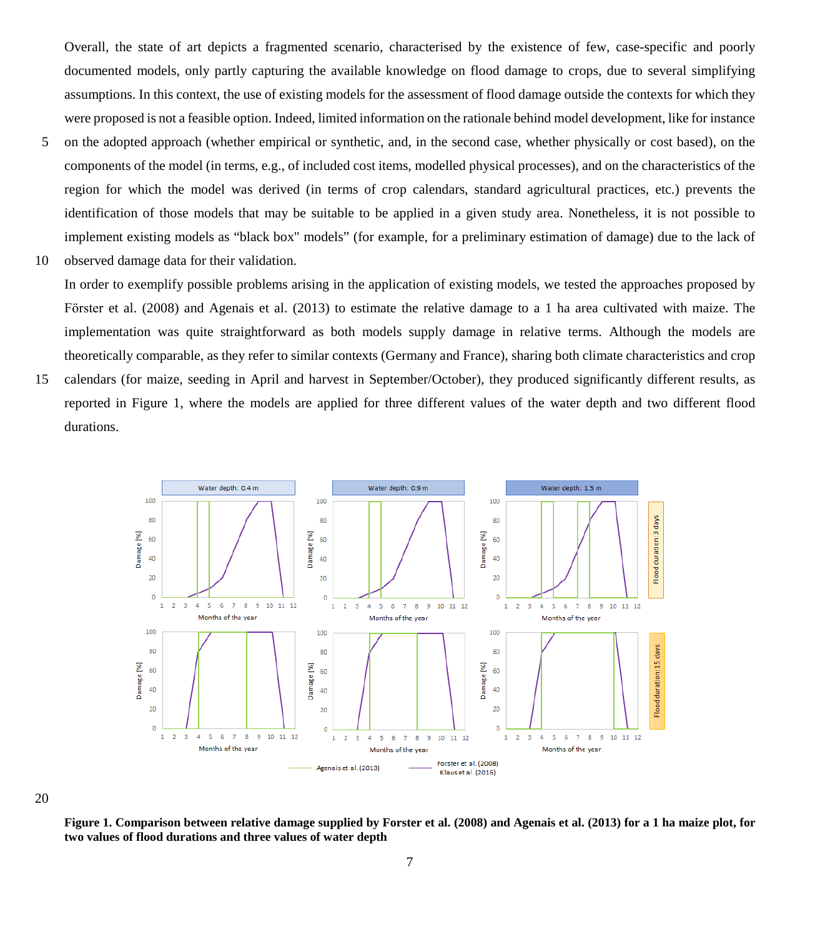Overall, the state of art depicts a fragmented scenario, characterised by the existence of few, case-specific and poorly documented models, only partly capturing the available knowledge on flood damage to crops, due to several simplifying assumptions. In this context, the use of existing models for the assessment of flood damage outside the contexts for which they were proposed is not a feasible option. Indeed, limited information on the rationale behind model development, like for instance

- 5 on the adopted approach (whether empirical or synthetic, and, in the second case, whether physically or cost based), on the components of the model (in terms, e.g., of included cost items, modelled physical processes), and on the characteristics of the region for which the model was derived (in terms of crop calendars, standard agricultural practices, etc.) prevents the identification of those models that may be suitable to be applied in a given study area. Nonetheless, it is not possible to implement existing models as "black box" models" (for example, for a preliminary estimation of damage) due to the lack of
- 10 observed damage data for their validation.

In order to exemplify possible problems arising in the application of existing models, we tested the approaches proposed by Förster et al. (2008) and Agenais et al. (2013) to estimate the relative damage to a 1 ha area cultivated with maize. The implementation was quite straightforward as both models supply damage in relative terms. Although the models are theoretically comparable, as they refer to similar contexts (Germany and France), sharing both climate characteristics and crop

15 calendars (for maize, seeding in April and harvest in September/October), they produced significantly different results, as reported in Figure 1, where the models are applied for three different values of the water depth and two different flood durations.



20

**Figure 1. Comparison between relative damage supplied by Forster et al. (2008) and Agenais et al. (2013) for a 1 ha maize plot, for two values of flood durations and three values of water depth**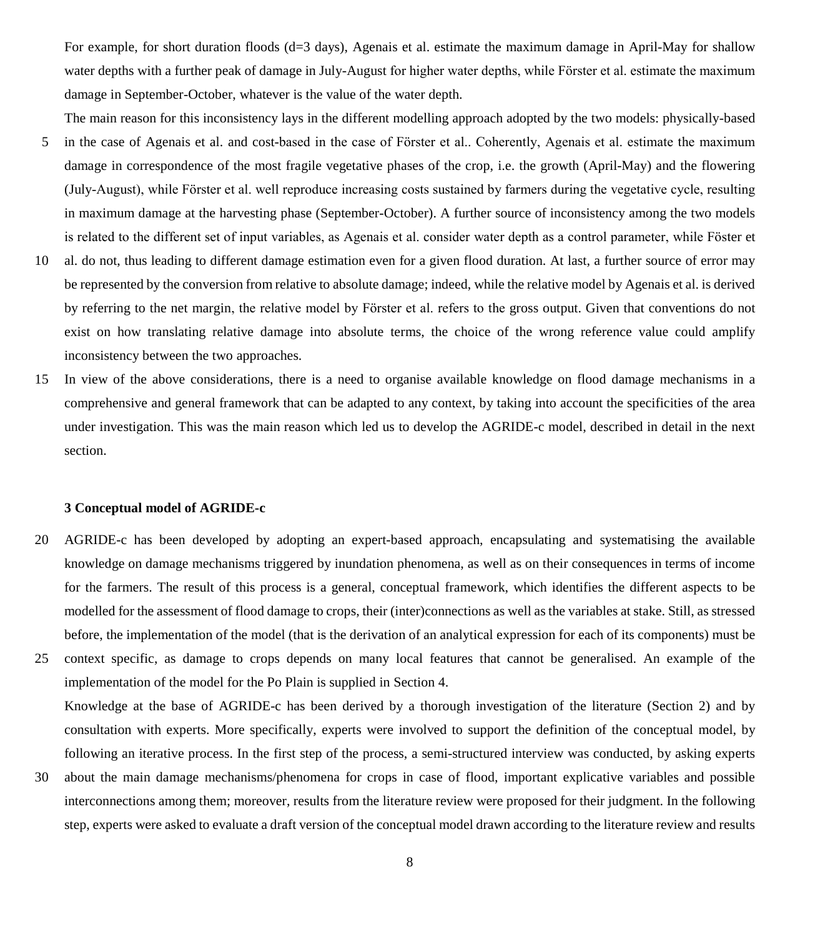For example, for short duration floods (d=3 days), Agenais et al. estimate the maximum damage in April-May for shallow water depths with a further peak of damage in July-August for higher water depths, while Förster et al. estimate the maximum damage in September-October, whatever is the value of the water depth.

The main reason for this inconsistency lays in the different modelling approach adopted by the two models: physically-based

- 5 in the case of Agenais et al. and cost-based in the case of Förster et al.. Coherently, Agenais et al. estimate the maximum damage in correspondence of the most fragile vegetative phases of the crop, i.e. the growth (April-May) and the flowering (July-August), while Fӧrster et al. well reproduce increasing costs sustained by farmers during the vegetative cycle, resulting in maximum damage at the harvesting phase (September-October). A further source of inconsistency among the two models is related to the different set of input variables, as Agenais et al. consider water depth as a control parameter, while Föster et
- 10 al. do not, thus leading to different damage estimation even for a given flood duration. At last, a further source of error may be represented by the conversion from relative to absolute damage; indeed, while the relative model by Agenais et al. is derived by referring to the net margin, the relative model by Fӧrster et al. refers to the gross output. Given that conventions do not exist on how translating relative damage into absolute terms, the choice of the wrong reference value could amplify inconsistency between the two approaches.
- 15 In view of the above considerations, there is a need to organise available knowledge on flood damage mechanisms in a comprehensive and general framework that can be adapted to any context, by taking into account the specificities of the area under investigation. This was the main reason which led us to develop the AGRIDE-c model, described in detail in the next section.

#### **3 Conceptual model of AGRIDE-c**

- 20 AGRIDE-c has been developed by adopting an expert-based approach, encapsulating and systematising the available knowledge on damage mechanisms triggered by inundation phenomena, as well as on their consequences in terms of income for the farmers. The result of this process is a general, conceptual framework, which identifies the different aspects to be modelled for the assessment of flood damage to crops, their (inter)connections as well as the variables at stake. Still, as stressed before, the implementation of the model (that is the derivation of an analytical expression for each of its components) must be
- 25 context specific, as damage to crops depends on many local features that cannot be generalised. An example of the implementation of the model for the Po Plain is supplied in Section 4. Knowledge at the base of AGRIDE-c has been derived by a thorough investigation of the literature (Section 2) and by consultation with experts. More specifically, experts were involved to support the definition of the conceptual model, by following an iterative process. In the first step of the process, a semi-structured interview was conducted, by asking experts
- 30 about the main damage mechanisms/phenomena for crops in case of flood, important explicative variables and possible interconnections among them; moreover, results from the literature review were proposed for their judgment. In the following step, experts were asked to evaluate a draft version of the conceptual model drawn according to the literature review and results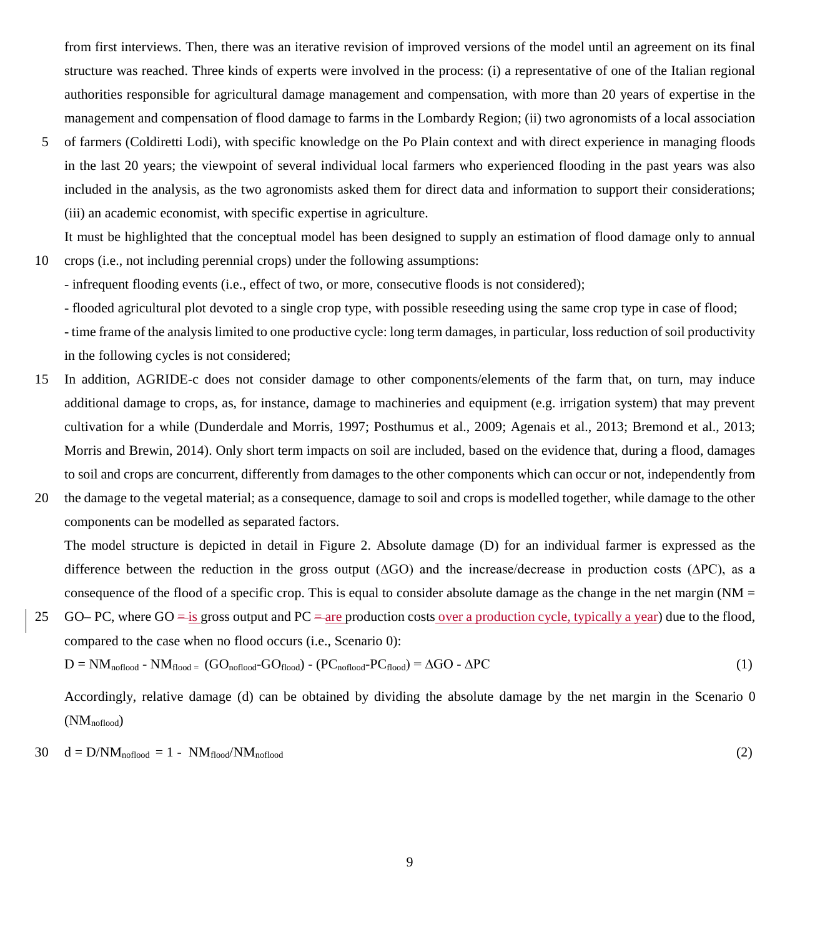from first interviews. Then, there was an iterative revision of improved versions of the model until an agreement on its final structure was reached. Three kinds of experts were involved in the process: (i) a representative of one of the Italian regional authorities responsible for agricultural damage management and compensation, with more than 20 years of expertise in the management and compensation of flood damage to farms in the Lombardy Region; (ii) two agronomists of a local association

5 of farmers (Coldiretti Lodi), with specific knowledge on the Po Plain context and with direct experience in managing floods in the last 20 years; the viewpoint of several individual local farmers who experienced flooding in the past years was also included in the analysis, as the two agronomists asked them for direct data and information to support their considerations; (iii) an academic economist, with specific expertise in agriculture.

It must be highlighted that the conceptual model has been designed to supply an estimation of flood damage only to annual 10 crops (i.e., not including perennial crops) under the following assumptions:

- infrequent flooding events (i.e., effect of two, or more, consecutive floods is not considered);

- flooded agricultural plot devoted to a single crop type, with possible reseeding using the same crop type in case of flood; - time frame of the analysis limited to one productive cycle: long term damages, in particular, loss reduction of soil productivity in the following cycles is not considered;

- 15 In addition, AGRIDE-c does not consider damage to other components/elements of the farm that, on turn, may induce additional damage to crops, as, for instance, damage to machineries and equipment (e.g. irrigation system) that may prevent cultivation for a while (Dunderdale and Morris, 1997; Posthumus et al., 2009; Agenais et al., 2013; Bremond et al., 2013; Morris and Brewin, 2014). Only short term impacts on soil are included, based on the evidence that, during a flood, damages to soil and crops are concurrent, differently from damages to the other components which can occur or not, independently from
- 20 the damage to the vegetal material; as a consequence, damage to soil and crops is modelled together, while damage to the other components can be modelled as separated factors.

The model structure is depicted in detail in Figure 2. Absolute damage (D) for an individual farmer is expressed as the difference between the reduction in the gross output (∆GO) and the increase/decrease in production costs (∆PC), as a consequence of the flood of a specific crop. This is equal to consider absolute damage as the change in the net margin ( $NM =$ 

25 GO– PC, where GO  $=$  is gross output and PC  $=$  are production costs over a production cycle, typically a year) due to the flood, compared to the case when no flood occurs (i.e., Scenario 0):

$$
D = NM_{\text{noflood}} - NM_{\text{flood}} = (GO_{\text{noflood}} - GO_{\text{flood}}) - (PC_{\text{noflood}} - PC_{\text{flood}}) = \Delta GO - \Delta PC
$$
 (1)

Accordingly, relative damage (d) can be obtained by dividing the absolute damage by the net margin in the Scenario 0  $(NM_{\text{noflood}})$ 

$$
30 \quad d = D/NM_{\text{noflood}} = 1 - NM_{\text{noof}}/NM_{\text{noflood}} \tag{2}
$$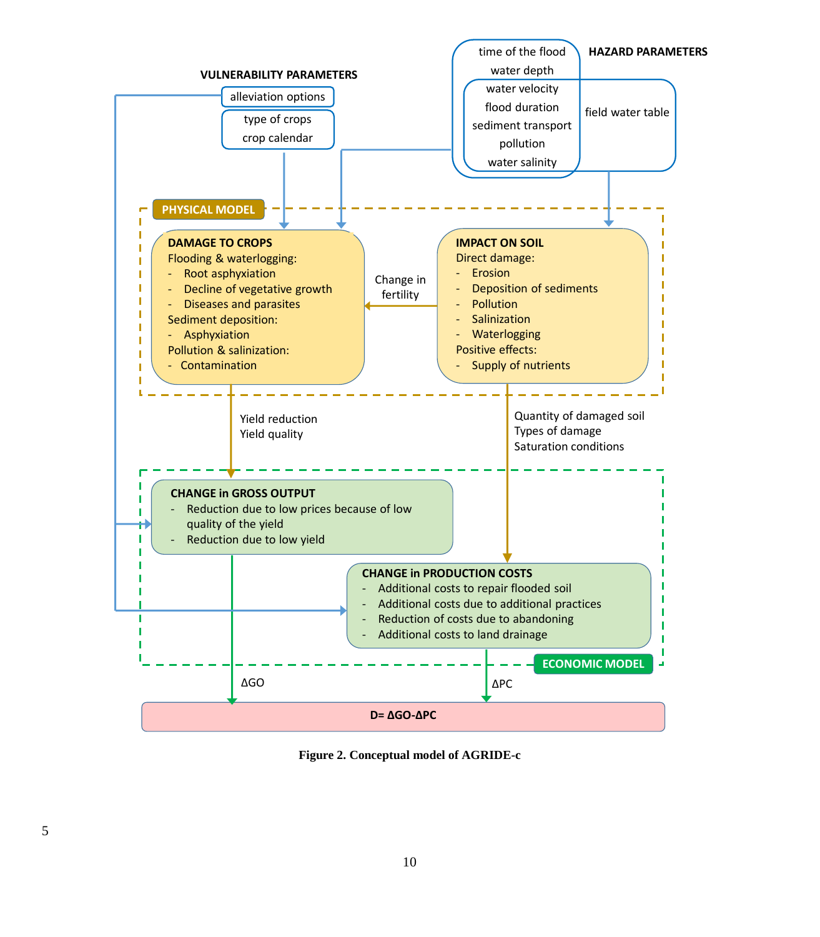

**Figure 2. Conceptual model of AGRIDE-c**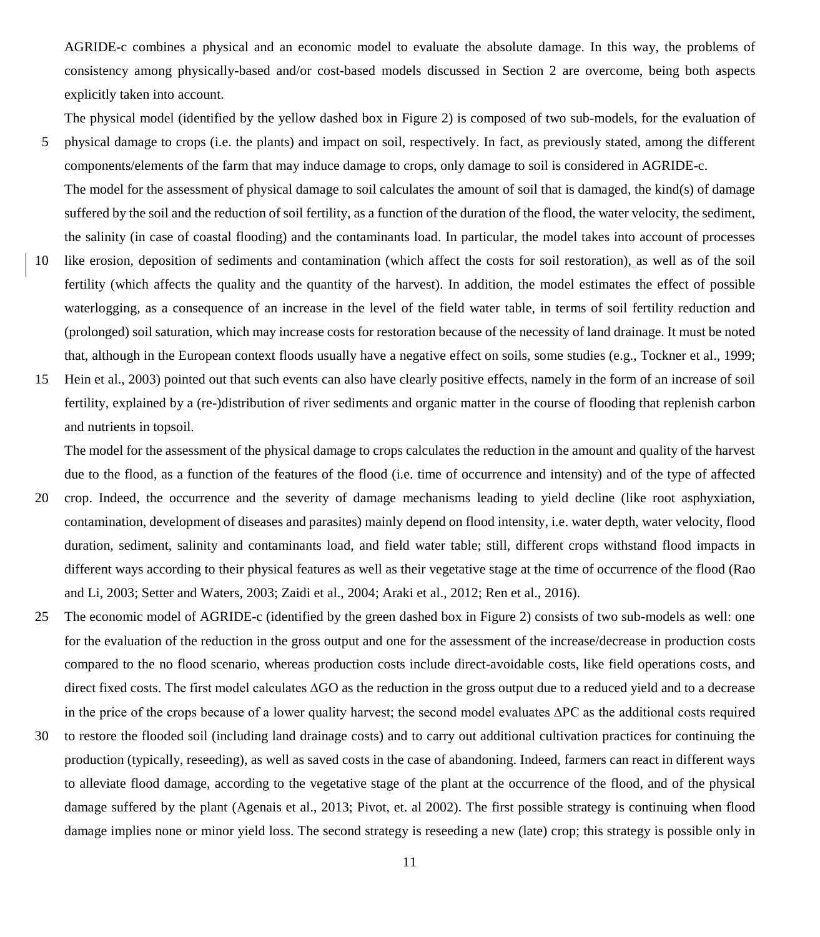AGRIDE-c combines a physical and an economic model to evaluate the absolute damage. In this way, the problems of consistency among physically-based and/or cost-based models discussed in Section 2 are overcome, being both aspects explicitly taken into account.

The physical model (identified by the yellow dashed box in Figure 2) is composed of two sub-models, for the evaluation of

- 5 physical damage to crops (i.e. the plants) and impact on soil, respectively. In fact, as previously stated, among the different components/elements of the farm that may induce damage to crops, only damage to soil is considered in AGRIDE-c. The model for the assessment of physical damage to soil calculates the amount of soil that is damaged, the kind(s) of damage suffered by the soil and the reduction of soil fertility, as a function of the duration of the flood, the water velocity, the sediment, the salinity (in case of coastal flooding) and the contaminants load. In particular, the model takes into account of processes
- 10 like erosion, deposition of sediments and contamination (which affect the costs for soil restoration), as well as of the soil fertility (which affects the quality and the quantity of the harvest). In addition, the model estimates the effect of possible waterlogging, as a consequence of an increase in the level of the field water table, in terms of soil fertility reduction and (prolonged) soil saturation, which may increase costs for restoration because of the necessity of land drainage. It must be noted that, although in the European context floods usually have a negative effect on soils, some studies (e.g., Tockner et al., 1999;
- 15 Hein et al., 2003) pointed out that such events can also have clearly positive effects, namely in the form of an increase of soil fertility, explained by a (re-)distribution of river sediments and organic matter in the course of flooding that replenish carbon and nutrients in topsoil.

The model for the assessment of the physical damage to crops calculates the reduction in the amount and quality of the harvest due to the flood, as a function of the features of the flood (i.e. time of occurrence and intensity) and of the type of affected

- 20 crop. Indeed, the occurrence and the severity of damage mechanisms leading to yield decline (like root asphyxiation, contamination, development of diseases and parasites) mainly depend on flood intensity, i.e. water depth, water velocity, flood duration, sediment, salinity and contaminants load, and field water table; still, different crops withstand flood impacts in different ways according to their physical features as well as their vegetative stage at the time of occurrence of the flood (Rao and Li, 2003; Setter and Waters, 2003; Zaidi et al., 2004; Araki et al., 2012; Ren et al., 2016).
- 25 The economic model of AGRIDE-c (identified by the green dashed box in Figure 2) consists of two sub-models as well: one for the evaluation of the reduction in the gross output and one for the assessment of the increase/decrease in production costs compared to the no flood scenario, whereas production costs include direct-avoidable costs, like field operations costs, and direct fixed costs. The first model calculates ∆GO as the reduction in the gross output due to a reduced yield and to a decrease in the price of the crops because of a lower quality harvest; the second model evaluates ∆PC as the additional costs required
- 30 to restore the flooded soil (including land drainage costs) and to carry out additional cultivation practices for continuing the production (typically, reseeding), as well as saved costs in the case of abandoning. Indeed, farmers can react in different ways to alleviate flood damage, according to the vegetative stage of the plant at the occurrence of the flood, and of the physical damage suffered by the plant (Agenais et al., 2013; Pivot, et. al 2002). The first possible strategy is continuing when flood damage implies none or minor yield loss. The second strategy is reseeding a new (late) crop; this strategy is possible only in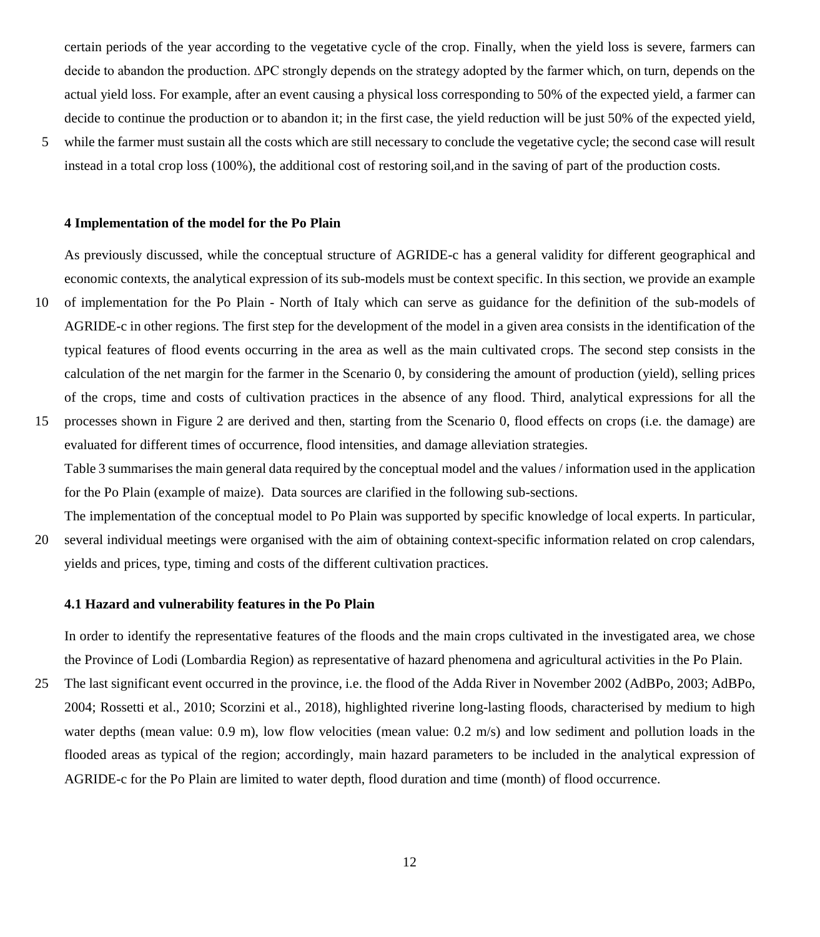certain periods of the year according to the vegetative cycle of the crop. Finally, when the yield loss is severe, farmers can decide to abandon the production. ∆PC strongly depends on the strategy adopted by the farmer which, on turn, depends on the actual yield loss. For example, after an event causing a physical loss corresponding to 50% of the expected yield, a farmer can decide to continue the production or to abandon it; in the first case, the yield reduction will be just 50% of the expected yield,

5 while the farmer must sustain all the costs which are still necessary to conclude the vegetative cycle; the second case will result instead in a total crop loss (100%), the additional cost of restoring soil,and in the saving of part of the production costs.

#### **4 Implementation of the model for the Po Plain**

As previously discussed, while the conceptual structure of AGRIDE-c has a general validity for different geographical and economic contexts, the analytical expression of its sub-models must be context specific. In this section, we provide an example

- 10 of implementation for the Po Plain North of Italy which can serve as guidance for the definition of the sub-models of AGRIDE-c in other regions. The first step for the development of the model in a given area consists in the identification of the typical features of flood events occurring in the area as well as the main cultivated crops. The second step consists in the calculation of the net margin for the farmer in the Scenario 0, by considering the amount of production (yield), selling prices of the crops, time and costs of cultivation practices in the absence of any flood. Third, analytical expressions for all the
- 15 processes shown in Figure 2 are derived and then, starting from the Scenario 0, flood effects on crops (i.e. the damage) are evaluated for different times of occurrence, flood intensities, and damage alleviation strategies. Table 3 summarises the main general data required by the conceptual model and the values / information used in the application for the Po Plain (example of maize). Data sources are clarified in the following sub-sections.
- The implementation of the conceptual model to Po Plain was supported by specific knowledge of local experts. In particular, 20 several individual meetings were organised with the aim of obtaining context-specific information related on crop calendars, yields and prices, type, timing and costs of the different cultivation practices.

#### **4.1 Hazard and vulnerability features in the Po Plain**

In order to identify the representative features of the floods and the main crops cultivated in the investigated area, we chose the Province of Lodi (Lombardia Region) as representative of hazard phenomena and agricultural activities in the Po Plain.

25 The last significant event occurred in the province, i.e. the flood of the Adda River in November 2002 (AdBPo, 2003; AdBPo, 2004; Rossetti et al., 2010; Scorzini et al., 2018), highlighted riverine long-lasting floods, characterised by medium to high water depths (mean value: 0.9 m), low flow velocities (mean value: 0.2 m/s) and low sediment and pollution loads in the flooded areas as typical of the region; accordingly, main hazard parameters to be included in the analytical expression of AGRIDE-c for the Po Plain are limited to water depth, flood duration and time (month) of flood occurrence.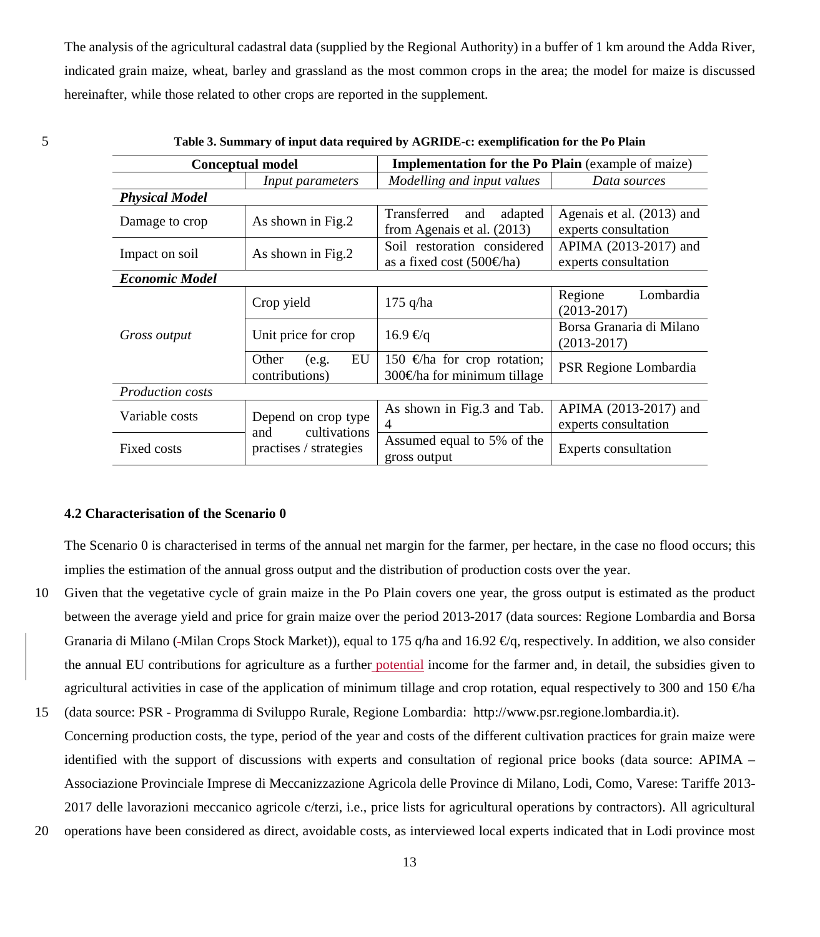The analysis of the agricultural cadastral data (supplied by the Regional Authority) in a buffer of 1 km around the Adda River, indicated grain maize, wheat, barley and grassland as the most common crops in the area; the model for maize is discussed hereinafter, while those related to other crops are reported in the supplement.

| Table 5. Summary of hiput data required by AGKIDE-C. exemplification for the F0 Flam |                                            |                                                                   |                                                   |  |  |  |  |  |  |  |  |
|--------------------------------------------------------------------------------------|--------------------------------------------|-------------------------------------------------------------------|---------------------------------------------------|--|--|--|--|--|--|--|--|
|                                                                                      | <b>Conceptual model</b>                    | <b>Implementation for the Po Plain</b> (example of maize)         |                                                   |  |  |  |  |  |  |  |  |
|                                                                                      | Input parameters                           | Modelling and input values                                        | Data sources                                      |  |  |  |  |  |  |  |  |
| <b>Physical Model</b>                                                                |                                            |                                                                   |                                                   |  |  |  |  |  |  |  |  |
| Damage to crop                                                                       | As shown in Fig.2                          | Transferred<br>adapted<br>and<br>from Agenais et al. (2013)       | Agenais et al. (2013) and<br>experts consultation |  |  |  |  |  |  |  |  |
| Impact on soil                                                                       | As shown in Fig.2                          | Soil restoration considered<br>as a fixed cost $(500 \text{€ha})$ | APIMA (2013-2017) and<br>experts consultation     |  |  |  |  |  |  |  |  |
| <b>Economic Model</b>                                                                |                                            |                                                                   |                                                   |  |  |  |  |  |  |  |  |
|                                                                                      | Crop yield                                 | $175$ q/ha                                                        | Lombardia<br>Regione<br>$(2013 - 2017)$           |  |  |  |  |  |  |  |  |
| Gross output                                                                         | Unit price for crop                        | $16.9 \text{ } \infty$                                            | Borsa Granaria di Milano<br>$(2013 - 2017)$       |  |  |  |  |  |  |  |  |
|                                                                                      | EU<br>Other<br>(e.g.<br>contributions)     | 150 €ha for crop rotation;<br>300 $\oplus$ ha for minimum tillage | PSR Regione Lombardia                             |  |  |  |  |  |  |  |  |
| <b>Production costs</b>                                                              |                                            |                                                                   |                                                   |  |  |  |  |  |  |  |  |
| Variable costs                                                                       | Depend on crop type<br>cultivations<br>and | As shown in Fig.3 and Tab.<br>4                                   | APIMA (2013-2017) and<br>experts consultation     |  |  |  |  |  |  |  |  |
| Fixed costs                                                                          | practises / strategies                     | Assumed equal to 5% of the<br>gross output                        | Experts consultation                              |  |  |  |  |  |  |  |  |

|  | Table 3. Summary of input data required by AGRIDE-c: exemplification for the Po Plain |  |  |  |
|--|---------------------------------------------------------------------------------------|--|--|--|
|--|---------------------------------------------------------------------------------------|--|--|--|

#### **4.2 Characterisation of the Scenario 0**

The Scenario 0 is characterised in terms of the annual net margin for the farmer, per hectare, in the case no flood occurs; this implies the estimation of the annual gross output and the distribution of production costs over the year.

- 10 Given that the vegetative cycle of grain maize in the Po Plain covers one year, the gross output is estimated as the product between the average yield and price for grain maize over the period 2013-2017 (data sources: Regione Lombardia and Borsa Granaria di Milano (-Milan Crops Stock Market)), equal to 175 q/ha and 16.92  $\epsilon q$ , respectively. In addition, we also consider the annual EU contributions for agriculture as a further potential income for the farmer and, in detail, the subsidies given to agricultural activities in case of the application of minimum tillage and crop rotation, equal respectively to 300 and 150  $\oplus$ ha
- 15 (data source: PSR Programma di Sviluppo Rurale, Regione Lombardia: [http://www.psr.regione.lombardia.it\)](http://www.psr.regione.lombardia.it/). Concerning production costs, the type, period of the year and costs of the different cultivation practices for grain maize were identified with the support of discussions with experts and consultation of regional price books (data source: APIMA – Associazione Provinciale Imprese di Meccanizzazione Agricola delle Province di Milano, Lodi, Como, Varese: Tariffe 2013- 2017 delle lavorazioni meccanico agricole c/terzi, i.e., price lists for agricultural operations by contractors). All agricultural
- 20 operations have been considered as direct, avoidable costs, as interviewed local experts indicated that in Lodi province most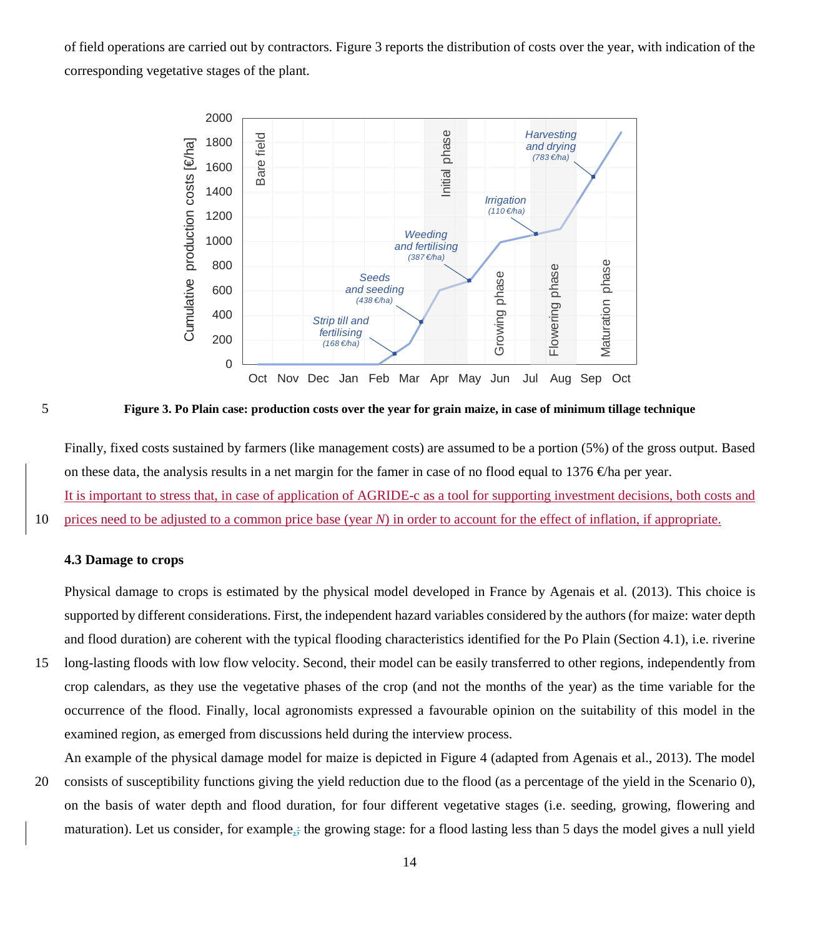of field operations are carried out by contractors. Figure 3 reports the distribution of costs over the year, with indication of the corresponding vegetative stages of the plant.



5 **Figure 3. Po Plain case: production costs over the year for grain maize, in case of minimum tillage technique**

Finally, fixed costs sustained by farmers (like management costs) are assumed to be a portion (5%) of the gross output. Based on these data, the analysis results in a net margin for the famer in case of no flood equal to 1376  $\oplus$ ha per year. It is important to stress that, in case of application of AGRIDE-c as a tool for supporting investment decisions, both costs and

10 prices need to be adjusted to a common price base (year *N*) in order to account for the effect of inflation, if appropriate.

### **4.3 Damage to crops**

Physical damage to crops is estimated by the physical model developed in France by Agenais et al. (2013). This choice is supported by different considerations. First, the independent hazard variables considered by the authors (for maize: water depth and flood duration) are coherent with the typical flooding characteristics identified for the Po Plain (Section 4.1), i.e. riverine 15 long-lasting floods with low flow velocity. Second, their model can be easily transferred to other regions, independently from crop calendars, as they use the vegetative phases of the crop (and not the months of the year) as the time variable for the occurrence of the flood. Finally, local agronomists expressed a favourable opinion on the suitability of this model in the

examined region, as emerged from discussions held during the interview process.

An example of the physical damage model for maize is depicted in Figure 4 (adapted from Agenais et al., 2013). The model 20 consists of susceptibility functions giving the yield reduction due to the flood (as a percentage of the yield in the Scenario 0), on the basis of water depth and flood duration, for four different vegetative stages (i.e. seeding, growing, flowering and maturation). Let us consider, for example,; the growing stage: for a flood lasting less than 5 days the model gives a null yield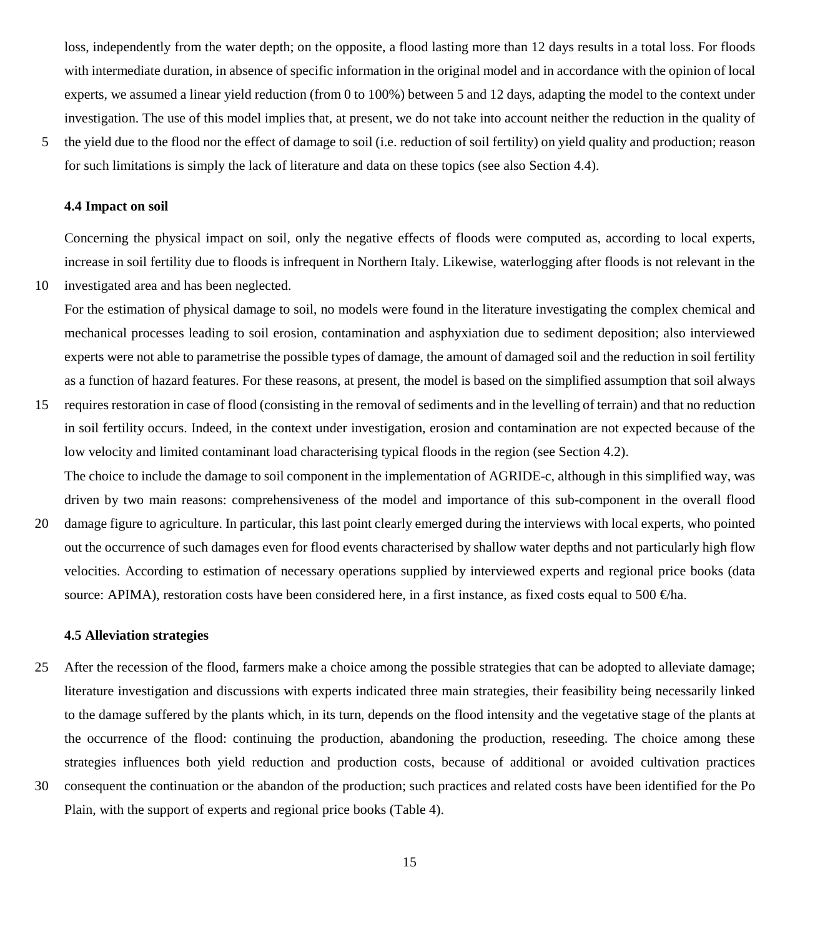loss, independently from the water depth; on the opposite, a flood lasting more than 12 days results in a total loss. For floods with intermediate duration, in absence of specific information in the original model and in accordance with the opinion of local experts, we assumed a linear yield reduction (from 0 to 100%) between 5 and 12 days, adapting the model to the context under investigation. The use of this model implies that, at present, we do not take into account neither the reduction in the quality of

5 the yield due to the flood nor the effect of damage to soil (i.e. reduction of soil fertility) on yield quality and production; reason for such limitations is simply the lack of literature and data on these topics (see also Section 4.4).

#### **4.4 Impact on soil**

Concerning the physical impact on soil, only the negative effects of floods were computed as, according to local experts, increase in soil fertility due to floods is infrequent in Northern Italy. Likewise, waterlogging after floods is not relevant in the 10 investigated area and has been neglected.

- For the estimation of physical damage to soil, no models were found in the literature investigating the complex chemical and mechanical processes leading to soil erosion, contamination and asphyxiation due to sediment deposition; also interviewed experts were not able to parametrise the possible types of damage, the amount of damaged soil and the reduction in soil fertility as a function of hazard features. For these reasons, at present, the model is based on the simplified assumption that soil always
- 15 requires restoration in case of flood (consisting in the removal of sediments and in the levelling of terrain) and that no reduction in soil fertility occurs. Indeed, in the context under investigation, erosion and contamination are not expected because of the low velocity and limited contaminant load characterising typical floods in the region (see Section 4.2).

The choice to include the damage to soil component in the implementation of AGRIDE-c, although in this simplified way, was driven by two main reasons: comprehensiveness of the model and importance of this sub-component in the overall flood

20 damage figure to agriculture. In particular, this last point clearly emerged during the interviews with local experts, who pointed out the occurrence of such damages even for flood events characterised by shallow water depths and not particularly high flow velocities. According to estimation of necessary operations supplied by interviewed experts and regional price books (data source: APIMA), restoration costs have been considered here, in a first instance, as fixed costs equal to 500  $\oplus$ ha.

#### **4.5 Alleviation strategies**

- 25 After the recession of the flood, farmers make a choice among the possible strategies that can be adopted to alleviate damage; literature investigation and discussions with experts indicated three main strategies, their feasibility being necessarily linked to the damage suffered by the plants which, in its turn, depends on the flood intensity and the vegetative stage of the plants at the occurrence of the flood: continuing the production, abandoning the production, reseeding. The choice among these strategies influences both yield reduction and production costs, because of additional or avoided cultivation practices
- 30 consequent the continuation or the abandon of the production; such practices and related costs have been identified for the Po Plain, with the support of experts and regional price books (Table 4).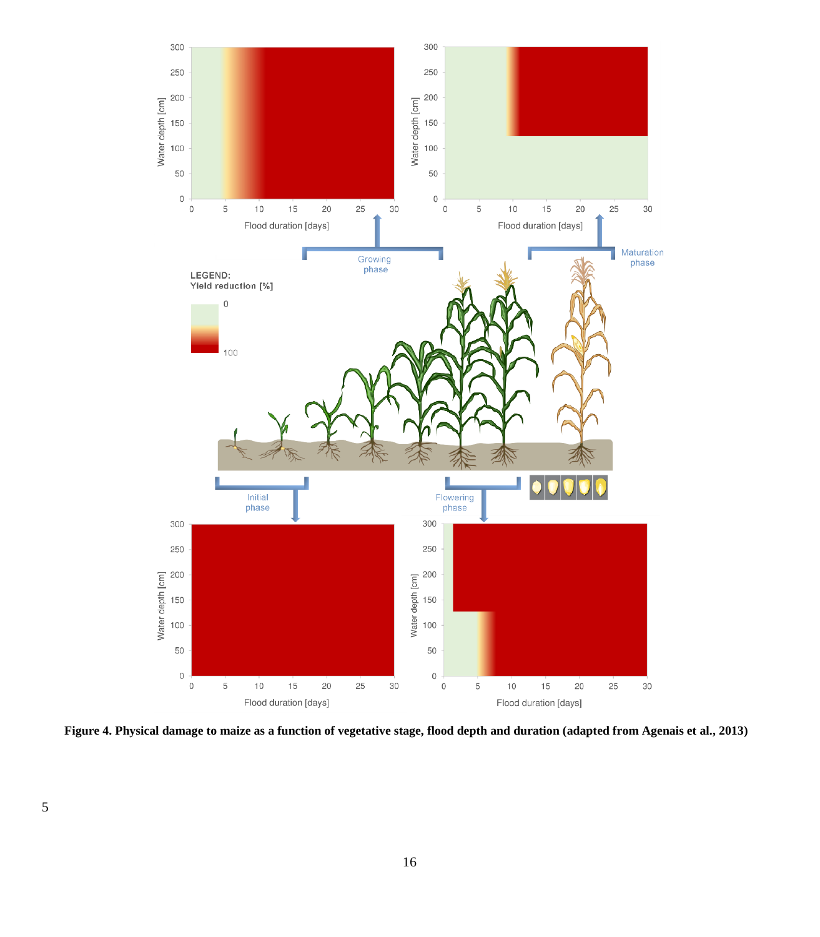

**Figure 4. Physical damage to maize as a function of vegetative stage, flood depth and duration (adapted from Agenais et al., 2013)**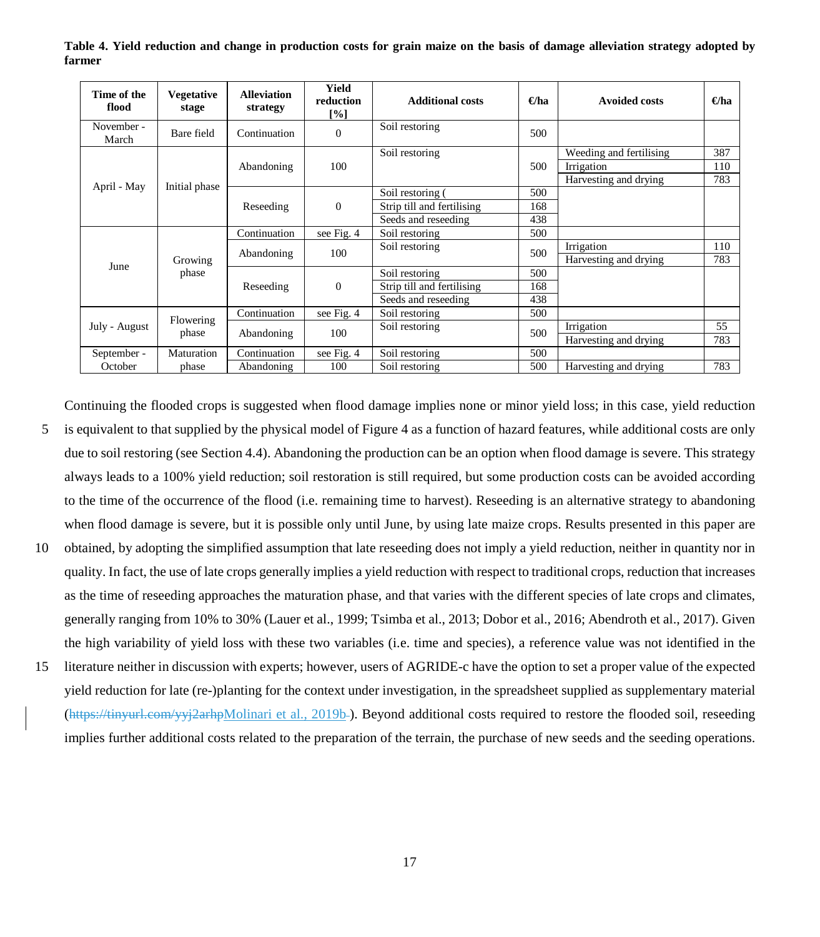**Table 4. Yield reduction and change in production costs for grain maize on the basis of damage alleviation strategy adopted by farmer**

| Time of the<br>flood | <b>Vegetative</b><br>stage | <b>Alleviation</b><br>strategy | Yield<br>reduction<br>[%] | <b>Additional costs</b>    | $\Theta$ ha | <b>Avoided costs</b>    | $\Theta$ ha |
|----------------------|----------------------------|--------------------------------|---------------------------|----------------------------|-------------|-------------------------|-------------|
| November -<br>March  | Bare field                 | Continuation                   | $\Omega$                  | Soil restoring             | 500         |                         |             |
|                      |                            |                                |                           | Soil restoring             |             | Weeding and fertilising | 387         |
|                      |                            | Abandoning                     | 100                       |                            | 500         | Irrigation              | 110         |
| April - May          | Initial phase              |                                |                           |                            |             | Harvesting and drying   | 783         |
|                      |                            |                                |                           | Soil restoring (           | 500         |                         |             |
|                      |                            | Reseeding                      | $\mathbf{0}$              | Strip till and fertilising | 168         |                         |             |
|                      |                            |                                |                           | Seeds and reseeding        | 438         |                         |             |
|                      |                            | Continuation                   | see Fig. 4                | Soil restoring             | 500         |                         |             |
|                      |                            | Abandoning                     | 100                       | Soil restoring             | 500         | Irrigation              | 110         |
| June                 | Growing                    |                                |                           |                            |             | Harvesting and drying   | 783         |
|                      | phase                      |                                |                           | Soil restoring             | 500         |                         |             |
|                      |                            | Reseeding                      | $\Omega$                  | Strip till and fertilising | 168         |                         |             |
|                      |                            |                                |                           | Seeds and reseeding        | 438         |                         |             |
|                      | Flowering                  | Continuation                   | see Fig. 4                | Soil restoring             | 500         |                         |             |
| July - August        | phase                      | Abandoning                     | 100                       | Soil restoring             | 500         | Irrigation              | 55          |
|                      |                            |                                |                           |                            |             | Harvesting and drying   | 783         |
| September -          | Maturation                 | Continuation                   | see Fig. 4                | Soil restoring             | 500         |                         |             |
| October              | phase                      | Abandoning                     | 100                       | Soil restoring             | 500         | Harvesting and drying   | 783         |

Continuing the flooded crops is suggested when flood damage implies none or minor yield loss; in this case, yield reduction

- 5 is equivalent to that supplied by the physical model of Figure 4 as a function of hazard features, while additional costs are only due to soil restoring (see Section 4.4). Abandoning the production can be an option when flood damage is severe. This strategy always leads to a 100% yield reduction; soil restoration is still required, but some production costs can be avoided according to the time of the occurrence of the flood (i.e. remaining time to harvest). Reseeding is an alternative strategy to abandoning when flood damage is severe, but it is possible only until June, by using late maize crops. Results presented in this paper are
- 10 obtained, by adopting the simplified assumption that late reseeding does not imply a yield reduction, neither in quantity nor in quality. In fact, the use of late crops generally implies a yield reduction with respect to traditional crops, reduction that increases as the time of reseeding approaches the maturation phase, and that varies with the different species of late crops and climates, generally ranging from 10% to 30% (Lauer et al., 1999; Tsimba et al., 2013; Dobor et al., 2016; Abendroth et al., 2017). Given the high variability of yield loss with these two variables (i.e. time and species), a reference value was not identified in the
- 15 literature neither in discussion with experts; however, users of AGRIDE-c have the option to set a proper value of the expected yield reduction for late (re-)planting for the context under investigation, in the spreadsheet supplied as supplementary material (https://tinyurl.com/yyj2arhpMolinari et al., 2019b ). Beyond additional costs required to restore the flooded soil, reseeding implies further additional costs related to the preparation of the terrain, the purchase of new seeds and the seeding operations.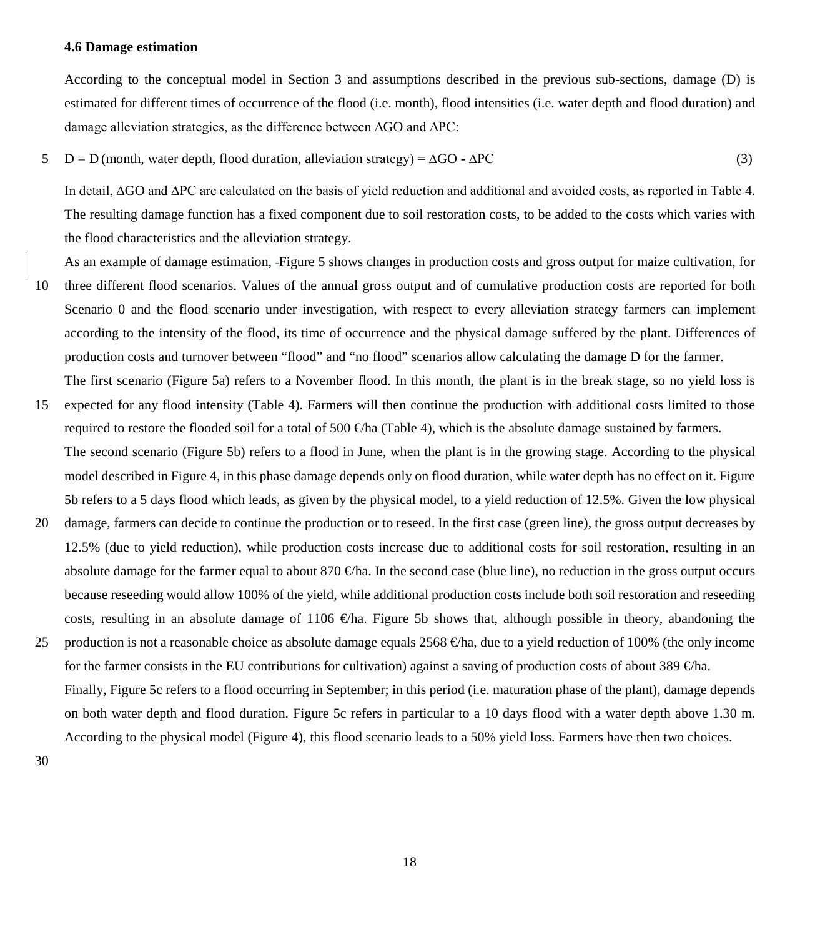#### **4.6 Damage estimation**

According to the conceptual model in Section 3 and assumptions described in the previous sub-sections, damage (D) is estimated for different times of occurrence of the flood (i.e. month), flood intensities (i.e. water depth and flood duration) and damage alleviation strategies, as the difference between ∆GO and ∆PC:

 $5 \quad D = D$  (month, water depth, flood duration, alleviation strategy) =  $\Delta GO - \Delta PC$  (3)

In detail, ∆GO and ∆PC are calculated on the basis of yield reduction and additional and avoided costs, as reported in Table 4. The resulting damage function has a fixed component due to soil restoration costs, to be added to the costs which varies with the flood characteristics and the alleviation strategy.

As an example of damage estimation, Figure 5 shows changes in production costs and gross output for maize cultivation, for 10 three different flood scenarios. Values of the annual gross output and of cumulative production costs are reported for both Scenario 0 and the flood scenario under investigation, with respect to every alleviation strategy farmers can implement according to the intensity of the flood, its time of occurrence and the physical damage suffered by the plant. Differences of production costs and turnover between "flood" and "no flood" scenarios allow calculating the damage D for the farmer.

- The first scenario (Figure 5a) refers to a November flood. In this month, the plant is in the break stage, so no yield loss is 15 expected for any flood intensity (Table 4). Farmers will then continue the production with additional costs limited to those required to restore the flooded soil for a total of 500  $\oplus$ ha (Table 4), which is the absolute damage sustained by farmers.
- The second scenario (Figure 5b) refers to a flood in June, when the plant is in the growing stage. According to the physical model described in Figure 4, in this phase damage depends only on flood duration, while water depth has no effect on it. Figure 5b refers to a 5 days flood which leads, as given by the physical model, to a yield reduction of 12.5%. Given the low physical
- 20 damage, farmers can decide to continue the production or to reseed. In the first case (green line), the gross output decreases by 12.5% (due to yield reduction), while production costs increase due to additional costs for soil restoration, resulting in an absolute damage for the farmer equal to about 870  $\bigoplus$  fa. In the second case (blue line), no reduction in the gross output occurs because reseeding would allow 100% of the yield, while additional production costs include both soil restoration and reseeding costs, resulting in an absolute damage of 1106  $\oplus$ ha. Figure 5b shows that, although possible in theory, abandoning the
- 25 production is not a reasonable choice as absolute damage equals  $2568 \text{ }^2$  Eha, due to a yield reduction of 100% (the only income for the farmer consists in the EU contributions for cultivation) against a saving of production costs of about 389  $\oplus$ ha. Finally, Figure 5c refers to a flood occurring in September; in this period (i.e. maturation phase of the plant), damage depends on both water depth and flood duration. Figure 5c refers in particular to a 10 days flood with a water depth above 1.30 m.

According to the physical model (Figure 4), this flood scenario leads to a 50% yield loss. Farmers have then two choices.

30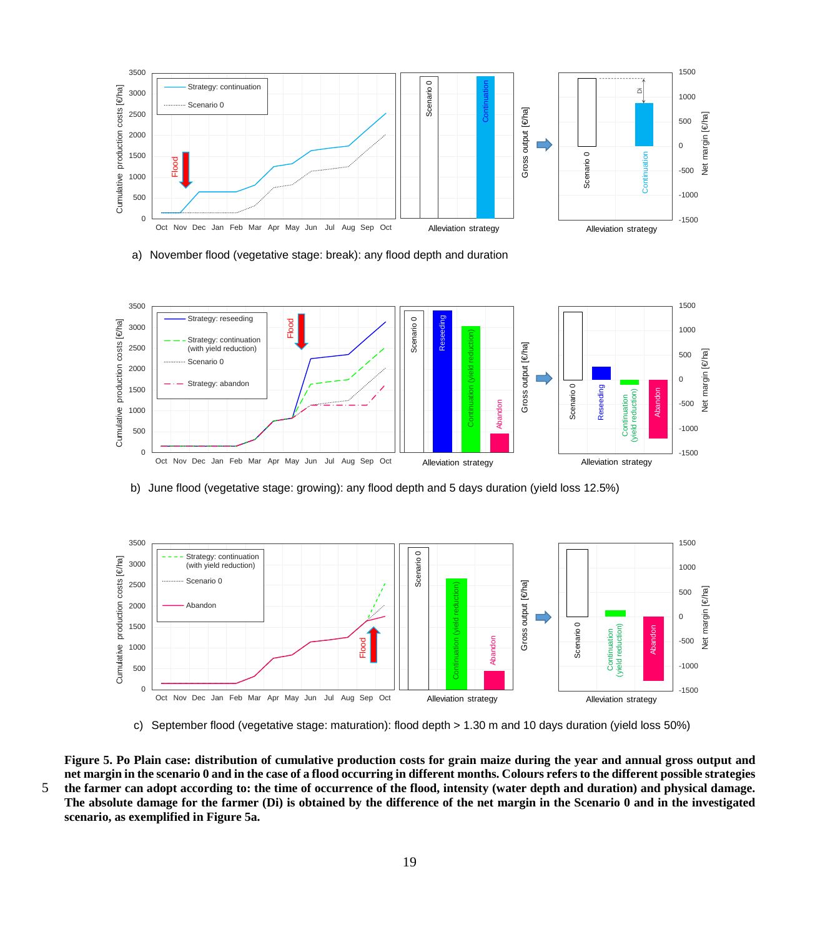

a) November flood (vegetative stage: break): any flood depth and duration



b) June flood (vegetative stage: growing): any flood depth and 5 days duration (yield loss 12.5%)



c) September flood (vegetative stage: maturation): flood depth > 1.30 m and 10 days duration (yield loss 50%)

**Figure 5. Po Plain case: distribution of cumulative production costs for grain maize during the year and annual gross output and net margin in the scenario 0 and in the case of a flood occurring in different months. Colours refers to the different possible strategies**  5 **the farmer can adopt according to: the time of occurrence of the flood, intensity (water depth and duration) and physical damage. The absolute damage for the farmer (Di) is obtained by the difference of the net margin in the Scenario 0 and in the investigated scenario, as exemplified in Figure 5a.**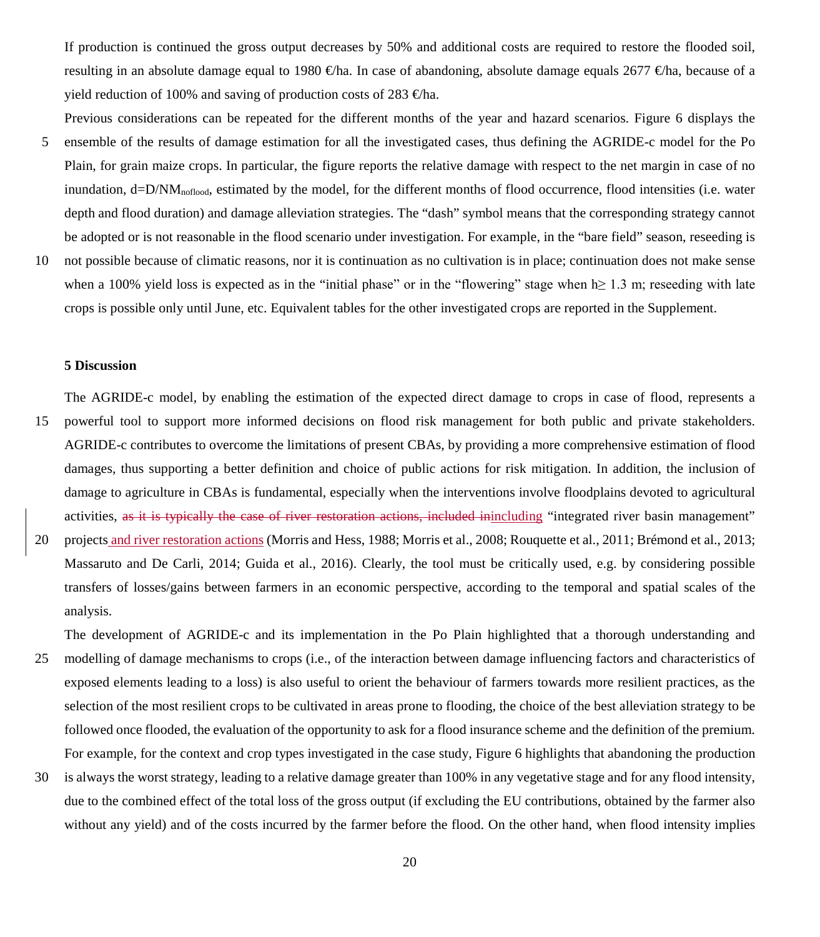If production is continued the gross output decreases by 50% and additional costs are required to restore the flooded soil, resulting in an absolute damage equal to 1980  $\oplus$ ha. In case of abandoning, absolute damage equals 2677  $\oplus$ ha, because of a yield reduction of 100% and saving of production costs of 283  $\oplus$ ha.

- Previous considerations can be repeated for the different months of the year and hazard scenarios. Figure 6 displays the 5 ensemble of the results of damage estimation for all the investigated cases, thus defining the AGRIDE-c model for the Po Plain, for grain maize crops. In particular, the figure reports the relative damage with respect to the net margin in case of no inundation,  $d=D/NM_{\text{noflood}}$ , estimated by the model, for the different months of flood occurrence, flood intensities (i.e. water depth and flood duration) and damage alleviation strategies. The "dash" symbol means that the corresponding strategy cannot be adopted or is not reasonable in the flood scenario under investigation. For example, in the "bare field" season, reseeding is
- 10 not possible because of climatic reasons, nor it is continuation as no cultivation is in place; continuation does not make sense when a 100% yield loss is expected as in the "initial phase" or in the "flowering" stage when  $h \ge 1.3$  m; reseeding with late crops is possible only until June, etc. Equivalent tables for the other investigated crops are reported in the Supplement.

#### **5 Discussion**

The AGRIDE-c model, by enabling the estimation of the expected direct damage to crops in case of flood, represents a

- 15 powerful tool to support more informed decisions on flood risk management for both public and private stakeholders. AGRIDE-c contributes to overcome the limitations of present CBAs, by providing a more comprehensive estimation of flood damages, thus supporting a better definition and choice of public actions for risk mitigation. In addition, the inclusion of damage to agriculture in CBAs is fundamental, especially when the interventions involve floodplains devoted to agricultural activities, as it is typically the case of river restoration actions, included inincluding "integrated river basin management"
- 20 projects and river restoration actions (Morris and Hess, 1988; Morris et al., 2008; Rouquette et al., 2011; Brémond et al., 2013; Massaruto and De Carli, 2014; Guida et al., 2016). Clearly, the tool must be critically used, e.g. by considering possible transfers of losses/gains between farmers in an economic perspective, according to the temporal and spatial scales of the analysis.

The development of AGRIDE-c and its implementation in the Po Plain highlighted that a thorough understanding and

- 25 modelling of damage mechanisms to crops (i.e., of the interaction between damage influencing factors and characteristics of exposed elements leading to a loss) is also useful to orient the behaviour of farmers towards more resilient practices, as the selection of the most resilient crops to be cultivated in areas prone to flooding, the choice of the best alleviation strategy to be followed once flooded, the evaluation of the opportunity to ask for a flood insurance scheme and the definition of the premium. For example, for the context and crop types investigated in the case study, Figure 6 highlights that abandoning the production
- 30 is always the worst strategy, leading to a relative damage greater than 100% in any vegetative stage and for any flood intensity, due to the combined effect of the total loss of the gross output (if excluding the EU contributions, obtained by the farmer also without any yield) and of the costs incurred by the farmer before the flood. On the other hand, when flood intensity implies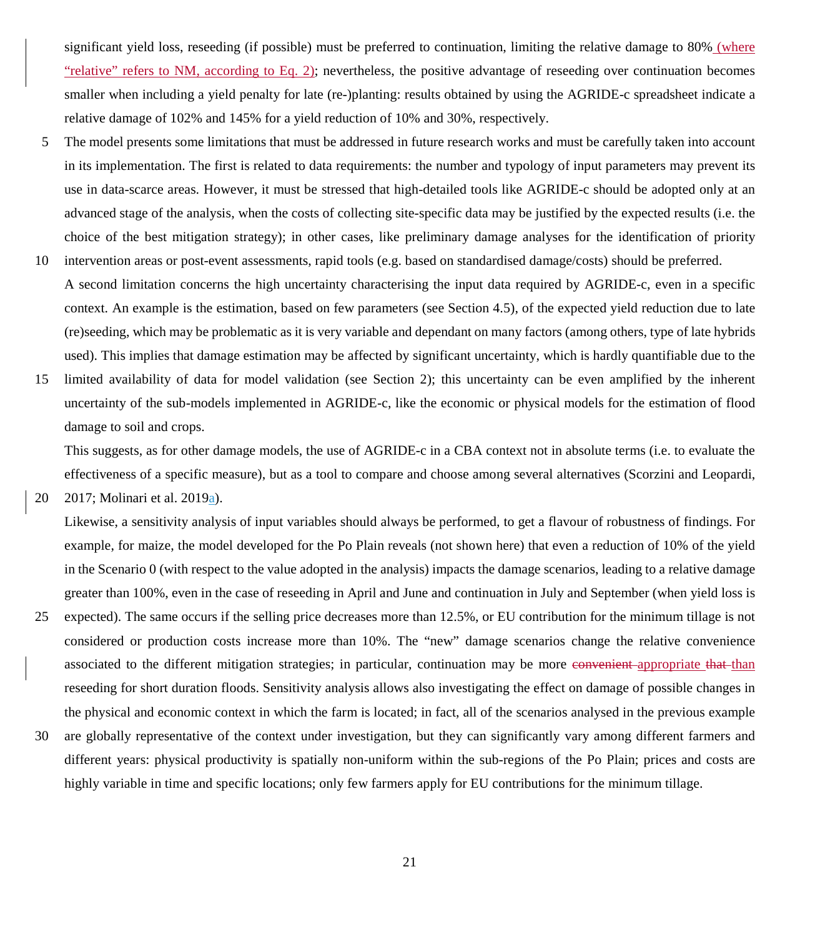significant yield loss, reseeding (if possible) must be preferred to continuation, limiting the relative damage to 80% (where "relative" refers to NM, according to Eq. 2); nevertheless, the positive advantage of reseeding over continuation becomes smaller when including a yield penalty for late (re-)planting: results obtained by using the AGRIDE-c spreadsheet indicate a relative damage of 102% and 145% for a yield reduction of 10% and 30%, respectively.

- 5 The model presents some limitations that must be addressed in future research works and must be carefully taken into account in its implementation. The first is related to data requirements: the number and typology of input parameters may prevent its use in data-scarce areas. However, it must be stressed that high-detailed tools like AGRIDE-c should be adopted only at an advanced stage of the analysis, when the costs of collecting site-specific data may be justified by the expected results (i.e. the choice of the best mitigation strategy); in other cases, like preliminary damage analyses for the identification of priority
- 10 intervention areas or post-event assessments, rapid tools (e.g. based on standardised damage/costs) should be preferred. A second limitation concerns the high uncertainty characterising the input data required by AGRIDE-c, even in a specific context. An example is the estimation, based on few parameters (see Section 4.5), of the expected yield reduction due to late (re)seeding, which may be problematic as it is very variable and dependant on many factors (among others, type of late hybrids used). This implies that damage estimation may be affected by significant uncertainty, which is hardly quantifiable due to the
- 15 limited availability of data for model validation (see Section 2); this uncertainty can be even amplified by the inherent uncertainty of the sub-models implemented in AGRIDE-c, like the economic or physical models for the estimation of flood damage to soil and crops.

This suggests, as for other damage models, the use of AGRIDE-c in a CBA context not in absolute terms (i.e. to evaluate the effectiveness of a specific measure), but as a tool to compare and choose among several alternatives (Scorzini and Leopardi,

20 2017; Molinari et al. 2019a).

Likewise, a sensitivity analysis of input variables should always be performed, to get a flavour of robustness of findings. For example, for maize, the model developed for the Po Plain reveals (not shown here) that even a reduction of 10% of the yield in the Scenario 0 (with respect to the value adopted in the analysis) impacts the damage scenarios, leading to a relative damage greater than 100%, even in the case of reseeding in April and June and continuation in July and September (when yield loss is

- 25 expected). The same occurs if the selling price decreases more than 12.5%, or EU contribution for the minimum tillage is not considered or production costs increase more than 10%. The "new" damage scenarios change the relative convenience associated to the different mitigation strategies; in particular, continuation may be more convenient appropriate that than reseeding for short duration floods. Sensitivity analysis allows also investigating the effect on damage of possible changes in the physical and economic context in which the farm is located; in fact, all of the scenarios analysed in the previous example
- 30 are globally representative of the context under investigation, but they can significantly vary among different farmers and different years: physical productivity is spatially non-uniform within the sub-regions of the Po Plain; prices and costs are highly variable in time and specific locations; only few farmers apply for EU contributions for the minimum tillage.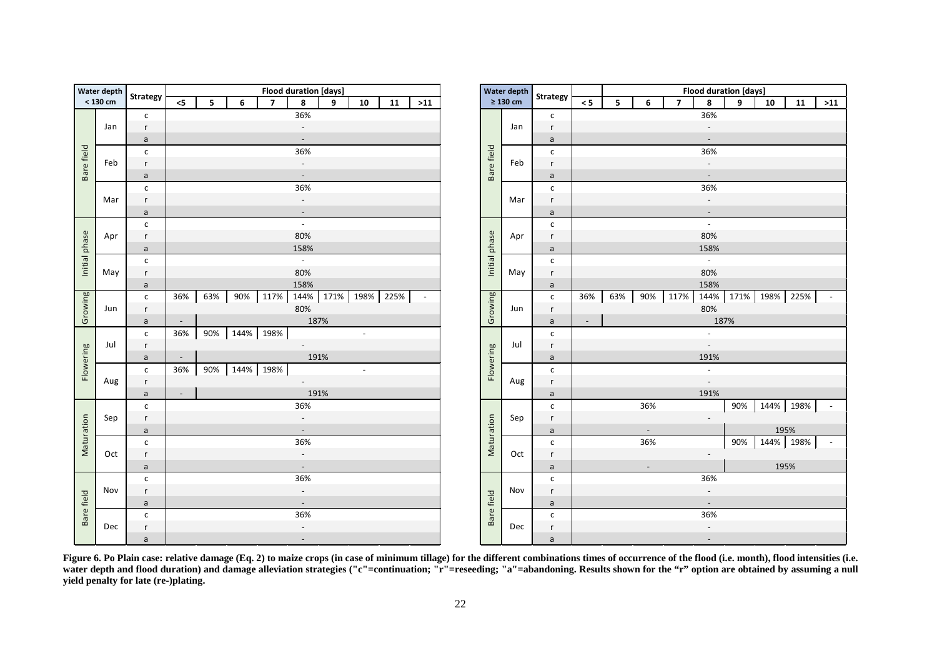|               | Water depth                    |                                          |                                                                   |                                 |      |      | <b>Flood duration [days]</b> |      |                          |              |                          |            |               | <b>Water depth</b> |              |    |
|---------------|--------------------------------|------------------------------------------|-------------------------------------------------------------------|---------------------------------|------|------|------------------------------|------|--------------------------|--------------|--------------------------|------------|---------------|--------------------|--------------|----|
|               | < 130 cm                       | <b>Strategy</b>                          | $\overline{7}$<br>8<br>$\leq$<br>5<br>6<br>9<br>10<br>11<br>$>11$ |                                 |      |      |                              |      |                          |              |                          |            | $\geq 130$ cm | <b>Strategy</b>    | $\,<$        |    |
|               |                                | $\mathsf{C}$                             |                                                                   |                                 |      |      | 36%                          |      |                          |              |                          |            |               |                    | $\mathsf{C}$ |    |
|               | Jan                            | r<br>$\overline{\phantom{a}}$            |                                                                   |                                 |      |      |                              |      |                          |              |                          |            |               | Jan                | $\mathsf r$  |    |
|               |                                | a                                        |                                                                   |                                 |      |      |                              |      |                          |              |                          |            |               |                    | a            |    |
| Bare field    |                                | C                                        |                                                                   | 36%                             |      |      |                              |      |                          |              |                          | Bare field |               | $\mathsf{C}$       |              |    |
|               | Feb                            | r                                        |                                                                   | $\overline{\phantom{a}}$        |      |      |                              |      |                          |              |                          | Feb        | $\mathsf{r}$  |                    |              |    |
|               |                                | a                                        | $\blacksquare$                                                    |                                 |      |      |                              |      |                          |              |                          |            |               |                    | $\mathsf{a}$ |    |
|               |                                | c                                        |                                                                   | 36%<br>$\overline{\phantom{a}}$ |      |      |                              |      |                          |              |                          |            |               |                    | $\mathsf{c}$ |    |
|               | Mar                            | r                                        |                                                                   |                                 |      |      |                              |      | Mar                      | $\mathsf{r}$ |                          |            |               |                    |              |    |
|               |                                | a                                        |                                                                   |                                 |      |      | $\overline{\phantom{a}}$     |      |                          |              |                          |            |               |                    | $\mathsf{a}$ |    |
|               |                                | $\mathsf{c}$                             |                                                                   |                                 |      |      | $\mathbb{L}$                 |      |                          |              |                          |            |               |                    | $\mathsf{c}$ |    |
|               | Apr                            | r                                        |                                                                   |                                 |      |      | 80%                          |      |                          |              |                          |            |               | Apr                | $\mathsf{r}$ |    |
| Initial phase |                                | a                                        |                                                                   |                                 |      |      | 158%                         |      |                          |              |                          |            | Initial phase |                    | $\mathsf a$  |    |
|               |                                | $\mathsf{C}$                             |                                                                   |                                 |      |      | $\overline{a}$               |      |                          |              |                          |            |               |                    | $\mathsf{C}$ |    |
|               | May                            | r                                        |                                                                   |                                 |      |      | 80%                          |      |                          |              |                          |            |               | May                | $\mathsf{r}$ |    |
|               |                                | a                                        |                                                                   |                                 |      |      | 158%                         |      |                          |              |                          |            |               |                    | $\mathsf a$  |    |
| Growing       | Jun                            | $\mathsf{C}$                             | 36%                                                               | 63%                             | 90%  | 117% | 144%                         | 171% | 198%                     | 225%         | $\overline{\phantom{a}}$ |            |               |                    | $\mathsf{c}$ | 36 |
|               |                                | r                                        |                                                                   |                                 |      |      | 80%                          |      |                          |              |                          |            | Growing       | Jun                | $\mathsf r$  |    |
|               |                                | a                                        | $\overline{\phantom{a}}$                                          |                                 |      |      | 187%                         |      |                          |              |                          |            |               |                    | $\mathsf{a}$ | ŀ, |
|               |                                | $\mathsf{C}$                             | 36%                                                               | 90%                             | 144% | 198% |                              |      | $\overline{\phantom{a}}$ |              |                          |            |               | Jul                | $\mathsf{c}$ |    |
|               | Jul                            | r                                        |                                                                   |                                 |      |      | $\mathbb{L}$                 |      |                          |              |                          |            |               |                    | r            |    |
| Flowering     |                                | $\mathsf a$                              | $\overline{\phantom{a}}$                                          |                                 |      |      | 191%                         |      |                          |              |                          |            | Flowering     |                    | $\mathsf a$  |    |
|               |                                | $\mathsf{C}$                             | 36%                                                               | 90%                             | 144% | 198% |                              |      | $\overline{\phantom{a}}$ |              |                          |            |               | Aug                | $\mathsf{C}$ |    |
|               | Aug                            | r                                        |                                                                   |                                 |      |      | $\omega_{\rm{max}}$          |      |                          |              |                          |            |               |                    | $\mathsf r$  |    |
|               |                                | a                                        | $\overline{\phantom{a}}$                                          |                                 |      |      |                              | 191% |                          |              |                          |            |               |                    | $\mathsf{a}$ |    |
|               |                                | $\mathsf{C}$                             |                                                                   |                                 |      |      | 36%                          |      |                          |              |                          |            |               |                    | $\mathsf{C}$ |    |
|               | Sep                            | r                                        |                                                                   |                                 |      |      | $\blacksquare$               |      |                          |              |                          |            |               | Sep                | $\mathsf r$  |    |
| Maturation    |                                | a                                        |                                                                   |                                 |      |      | $\blacksquare$               |      |                          |              |                          |            | Maturation    |                    | $\mathsf{a}$ |    |
|               |                                | $\mathsf{C}$                             |                                                                   |                                 |      |      | 36%                          |      |                          |              |                          |            |               |                    | $\mathsf{c}$ |    |
|               | Oct                            | $\mathsf{r}$                             |                                                                   |                                 |      |      | $\Box$                       |      |                          |              |                          |            |               | Oct                | $\mathsf{r}$ |    |
|               |                                | $\mathsf{a}$                             |                                                                   | $\mathbb{L}$                    |      |      |                              |      |                          |              |                          |            |               |                    | $\mathsf{a}$ |    |
|               |                                | $\mathsf{C}$                             |                                                                   |                                 |      |      | 36%                          |      |                          |              |                          |            |               |                    | $\mathsf{C}$ |    |
|               | Nov                            | $\overline{\phantom{a}}$<br>$\mathsf{r}$ |                                                                   |                                 |      |      |                              |      |                          |              |                          |            | Nov           | $\mathsf r$        |              |    |
|               | $\blacksquare$<br>$\mathsf{a}$ |                                          |                                                                   |                                 |      |      |                              |      |                          |              |                          |            | a             |                    |              |    |
| Bare field    |                                | C                                        |                                                                   |                                 |      |      | 36%                          |      |                          |              |                          |            | Bare field    |                    | $\mathsf{C}$ |    |
|               | Dec                            | r                                        |                                                                   |                                 |      |      | $\overline{\phantom{a}}$     |      |                          |              |                          |            |               | Dec                | $\mathsf{r}$ |    |
|               |                                | a                                        |                                                                   |                                 |      |      | $\overline{\phantom{a}}$     |      |                          |              |                          |            |               |                    | a            |    |
|               |                                |                                          |                                                                   |                                 |      |      |                              |      |                          |              |                          |            |               |                    |              |    |

|                | <b>Flood duration [days]</b> |     |     |                |                          |                     |                |            |       |  |               |                              |                 |          |     |                          |                | <b>Flood duration [days]</b> |      |                     |            |                          |
|----------------|------------------------------|-----|-----|----------------|--------------------------|---------------------|----------------|------------|-------|--|---------------|------------------------------|-----------------|----------|-----|--------------------------|----------------|------------------------------|------|---------------------|------------|--------------------------|
| tegy           | $< 5$                        | 5   | 6   | $\overline{7}$ | 8                        | 9                   | 10             | ${\bf 11}$ | $>11$ |  |               | Water depth<br>$\geq 130$ cm | <b>Strategy</b> | $\leq 5$ | 5   | 6                        | $\overline{7}$ | 8                            | 9    | 10                  | ${\bf 11}$ | $>11$                    |
| c              |                              |     |     |                | 36%                      |                     |                |            |       |  |               |                              | $\mathsf{c}$    |          |     |                          |                | 36%                          |      |                     |            |                          |
| r.             |                              |     |     |                | $\sim$                   |                     |                |            |       |  |               | Jan                          | $\mathsf{r}$    |          |     |                          |                | $\overline{\phantom{a}}$     |      |                     |            |                          |
| $\overline{a}$ |                              |     |     |                | $\sim$                   |                     |                |            |       |  |               |                              | $\mathsf{a}$    |          |     |                          |                | $\sim$                       |      |                     |            |                          |
| c              |                              |     |     |                | 36%                      |                     |                |            |       |  |               |                              | $\mathsf{c}$    |          |     |                          |                | 36%                          |      |                     |            |                          |
| r.             |                              |     |     |                | $\sim$                   |                     |                |            |       |  |               | Feb                          | r               |          |     |                          |                | $\overline{\phantom{a}}$     |      |                     |            |                          |
| $\frac{a}{2}$  |                              |     |     |                | $\sim$                   |                     |                |            |       |  | Bare field    |                              | $\mathsf{a}$    |          |     |                          |                | $\overline{\phantom{a}}$     |      |                     |            |                          |
| c              |                              |     |     |                | 36%                      |                     |                |            |       |  |               |                              | $\mathsf{c}$    |          |     |                          |                | 36%                          |      |                     |            |                          |
| r.             |                              |     |     |                | $\overline{\phantom{a}}$ |                     |                |            |       |  |               | Mar                          | r               |          |     |                          |                | $\overline{\phantom{a}}$     |      |                     |            |                          |
| $\overline{a}$ |                              |     |     |                |                          |                     |                |            |       |  |               |                              | $\mathsf{a}$    |          |     |                          |                | $\overline{\phantom{a}}$     |      |                     |            |                          |
| c              |                              |     |     |                | $\sim$                   |                     |                |            |       |  |               |                              | $\mathsf{c}$    |          |     |                          |                | $\mathbb{Z}^2$               |      |                     |            |                          |
| r.             |                              |     |     |                | 80%                      |                     |                |            |       |  |               | Apr                          | r               |          |     |                          |                | 80%                          |      |                     |            |                          |
| $\overline{a}$ |                              |     |     |                | 158%                     |                     |                |            |       |  | Initial phase |                              | $\mathsf{a}$    |          |     |                          |                | 158%                         |      |                     |            |                          |
| c              |                              |     |     |                | $\mathcal{L}^{\pm}$      |                     |                |            |       |  |               |                              | $\mathsf{c}$    |          |     |                          |                | $\mathbb{Z}^+$               |      |                     |            |                          |
| r.             |                              |     |     |                | 80%                      |                     |                |            |       |  |               | May                          | r               |          |     |                          |                | 80%                          |      |                     |            |                          |
| $\overline{a}$ |                              |     |     |                | 158%                     |                     |                |            |       |  |               |                              | $\mathsf{a}$    |          |     |                          |                | 158%                         |      |                     |            |                          |
| c              | 36%                          | 63% | 90% | 117%           |                          | 144% 171% 198% 225% |                |            |       |  | Growing       |                              | $\mathsf{c}$    | 36%      | 63% | 90%                      | 117%           |                              |      | 144% 171% 198% 225% |            | $\overline{\phantom{a}}$ |
| r              |                              |     |     |                | 80%                      |                     |                |            |       |  |               | Jun                          | $\mathsf{r}$    |          |     |                          |                | 80%                          |      |                     |            |                          |
| a              | $\sim$                       |     |     |                |                          | 187%                |                |            |       |  |               |                              | $\mathsf{a}$    | $\sim$   |     |                          |                |                              | 187% |                     |            |                          |
| c              | 36%                          | 90% |     | 144% 198%      |                          |                     | $\mathbb{L}$   |            |       |  |               |                              | $\mathsf{c}$    |          |     |                          |                | $\mathbb{L}$                 |      |                     |            |                          |
| r              |                              |     |     |                | $\sim$                   |                     |                |            |       |  |               | Jul                          | $\mathsf{r}$    |          |     |                          |                | $\overline{\phantom{a}}$     |      |                     |            |                          |
| a              | $\overline{\phantom{a}}$     |     |     |                |                          | 191%                |                |            |       |  | Flowering     |                              | $\mathsf{a}$    |          |     |                          |                | 191%                         |      |                     |            |                          |
| c              | 36%                          | 90% |     | 144% 198%      |                          |                     | $\mathbb{Z}^2$ |            |       |  |               |                              | $\mathsf{c}$    |          |     |                          |                | $\mathbb{L}$                 |      |                     |            |                          |
|                |                              |     |     |                | $\omega_{\rm{eff}}$      |                     |                |            |       |  |               | Aug                          | $\mathsf{r}$    |          |     |                          |                | $\overline{\phantom{a}}$     |      |                     |            |                          |
| a              | $\sim$                       |     |     |                |                          | 191%                |                |            |       |  |               |                              | $\mathsf{a}$    |          |     |                          |                | 191%                         |      |                     |            |                          |
| c              |                              |     |     |                | 36%                      |                     |                |            |       |  |               |                              | $\mathsf{c}$    |          |     | 36%                      |                |                              |      | 90% 144% 198%       |            | $\sim$                   |
| r              |                              |     |     |                | $\sim$                   |                     |                |            |       |  |               | Sep                          | $\mathsf{r}$    |          |     |                          |                | $\sim$                       |      |                     |            |                          |
| $\overline{a}$ |                              |     |     |                | $\sim$                   |                     |                |            |       |  |               |                              | $\mathsf{a}$    |          |     | $\sim$                   |                |                              |      |                     | 195%       |                          |
| c              |                              |     |     |                | 36%                      |                     |                |            |       |  | Maturation    |                              | $\mathsf{c}$    |          |     | 36%                      |                |                              |      | 90% 144% 198%       |            | $\sim$                   |
| r.             |                              |     |     |                | $\overline{\phantom{a}}$ |                     |                |            |       |  |               | Oct                          | r               |          |     |                          |                | $\sim$                       |      |                     |            |                          |
| $\overline{a}$ |                              |     |     |                |                          |                     |                |            |       |  |               |                              | $\mathsf{a}$    |          |     | $\overline{\phantom{a}}$ |                |                              |      |                     | 195%       |                          |
| c              |                              |     |     |                | 36%                      |                     |                |            |       |  |               |                              | $\mathsf{c}$    |          |     |                          |                | 36%                          |      |                     |            |                          |
| r.             |                              |     |     |                | $\overline{\phantom{a}}$ |                     |                |            |       |  |               | Nov                          | r               |          |     |                          |                | $\overline{\phantom{a}}$     |      |                     |            |                          |
| $\overline{a}$ |                              |     |     |                | $\sim$                   |                     |                |            |       |  | Bare field    |                              | $\mathsf{a}$    |          |     |                          |                | $\overline{\phantom{a}}$     |      |                     |            |                          |
| c              |                              |     |     |                | 36%                      |                     |                |            |       |  |               |                              | $\mathsf{C}$    |          |     |                          |                | 36%                          |      |                     |            |                          |
| r              |                              |     |     |                | $\overline{\phantom{a}}$ |                     |                |            |       |  |               | Dec                          | r               |          |     |                          |                | $\overline{\phantom{a}}$     |      |                     |            |                          |
| a              |                              |     |     |                | $\overline{\phantom{a}}$ |                     |                |            |       |  |               |                              | $\mathsf a$     |          |     |                          |                | $\overline{\phantom{a}}$     |      |                     |            |                          |

**Figure 6. Po Plain case: relative damage (Eq. 2) to maize crops (in case of minimum tillage) for the different combinations times of occurrence of the flood (i.e. month), flood intensities (i.e. water depth and flood duration) and damage alleviation strategies ("c"=continuation; "r"=reseeding; "a"=abandoning. Results shown for the "r" option are obtained by assuming a null yield penalty for late (re-)plating.**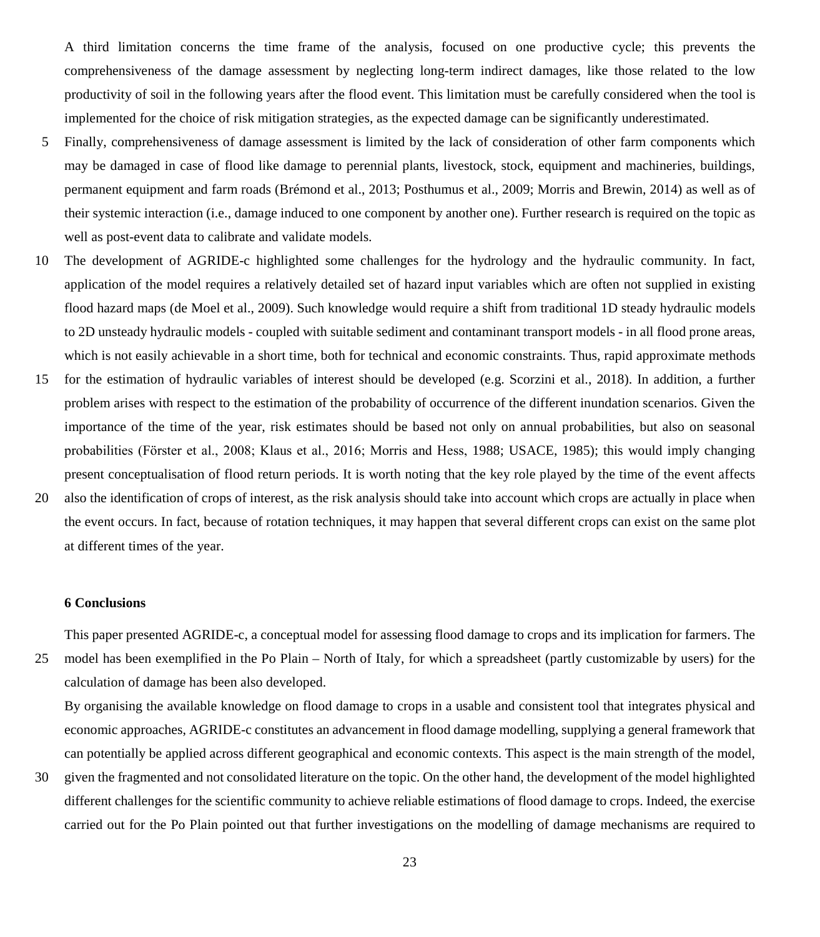A third limitation concerns the time frame of the analysis, focused on one productive cycle; this prevents the comprehensiveness of the damage assessment by neglecting long-term indirect damages, like those related to the low productivity of soil in the following years after the flood event. This limitation must be carefully considered when the tool is implemented for the choice of risk mitigation strategies, as the expected damage can be significantly underestimated.

- 5 Finally, comprehensiveness of damage assessment is limited by the lack of consideration of other farm components which may be damaged in case of flood like damage to perennial plants, livestock, stock, equipment and machineries, buildings, permanent equipment and farm roads (Brémond et al., 2013; Posthumus et al., 2009; Morris and Brewin, 2014) as well as of their systemic interaction (i.e., damage induced to one component by another one). Further research is required on the topic as well as post-event data to calibrate and validate models.
- 10 The development of AGRIDE-c highlighted some challenges for the hydrology and the hydraulic community. In fact, application of the model requires a relatively detailed set of hazard input variables which are often not supplied in existing flood hazard maps (de Moel et al., 2009). Such knowledge would require a shift from traditional 1D steady hydraulic models to 2D unsteady hydraulic models - coupled with suitable sediment and contaminant transport models - in all flood prone areas, which is not easily achievable in a short time, both for technical and economic constraints. Thus, rapid approximate methods
- 15 for the estimation of hydraulic variables of interest should be developed (e.g. Scorzini et al., 2018). In addition, a further problem arises with respect to the estimation of the probability of occurrence of the different inundation scenarios. Given the importance of the time of the year, risk estimates should be based not only on annual probabilities, but also on seasonal probabilities (Fӧrster et al., 2008; Klaus et al., 2016; Morris and Hess, 1988; USACE, 1985); this would imply changing present conceptualisation of flood return periods. It is worth noting that the key role played by the time of the event affects
- 20 also the identification of crops of interest, as the risk analysis should take into account which crops are actually in place when the event occurs. In fact, because of rotation techniques, it may happen that several different crops can exist on the same plot at different times of the year.

#### **6 Conclusions**

This paper presented AGRIDE-c, a conceptual model for assessing flood damage to crops and its implication for farmers. The

25 model has been exemplified in the Po Plain – North of Italy, for which a spreadsheet (partly customizable by users) for the calculation of damage has been also developed.

By organising the available knowledge on flood damage to crops in a usable and consistent tool that integrates physical and economic approaches, AGRIDE-c constitutes an advancement in flood damage modelling, supplying a general framework that can potentially be applied across different geographical and economic contexts. This aspect is the main strength of the model,

30 given the fragmented and not consolidated literature on the topic. On the other hand, the development of the model highlighted different challenges for the scientific community to achieve reliable estimations of flood damage to crops. Indeed, the exercise carried out for the Po Plain pointed out that further investigations on the modelling of damage mechanisms are required to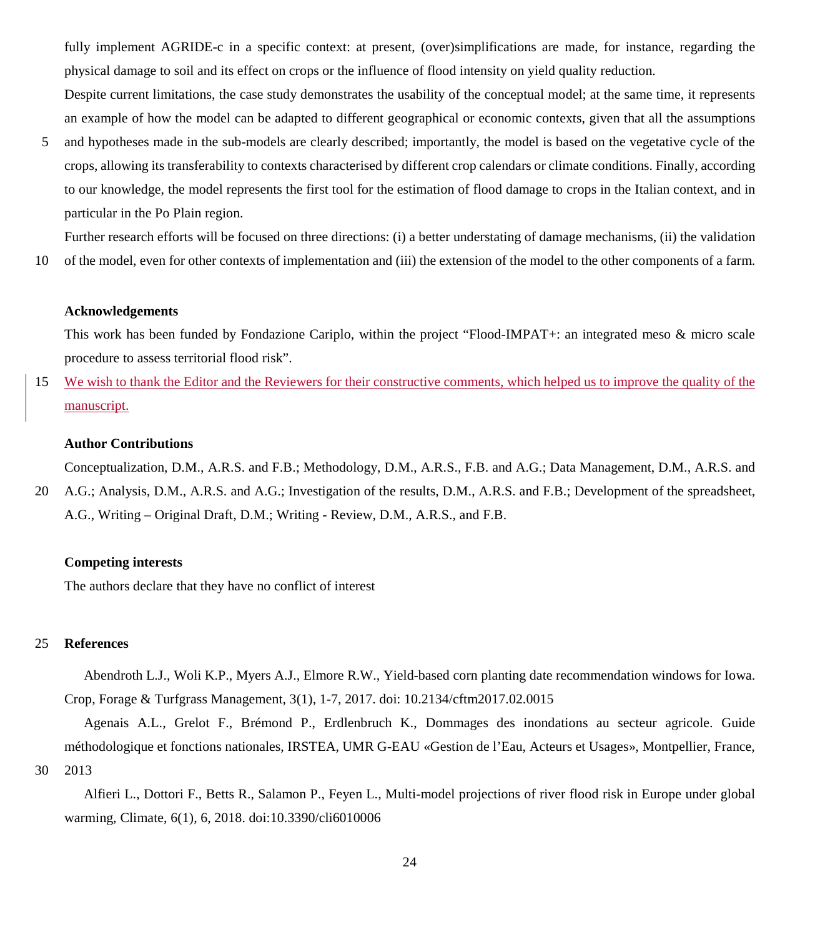fully implement AGRIDE-c in a specific context: at present, (over)simplifications are made, for instance, regarding the physical damage to soil and its effect on crops or the influence of flood intensity on yield quality reduction.

Despite current limitations, the case study demonstrates the usability of the conceptual model; at the same time, it represents an example of how the model can be adapted to different geographical or economic contexts, given that all the assumptions

5 and hypotheses made in the sub-models are clearly described; importantly, the model is based on the vegetative cycle of the crops, allowing its transferability to contexts characterised by different crop calendars or climate conditions. Finally, according to our knowledge, the model represents the first tool for the estimation of flood damage to crops in the Italian context, and in particular in the Po Plain region.

Further research efforts will be focused on three directions: (i) a better understating of damage mechanisms, (ii) the validation 10 of the model, even for other contexts of implementation and (iii) the extension of the model to the other components of a farm.

#### **Acknowledgements**

This work has been funded by Fondazione Cariplo, within the project "Flood-IMPAT+: an integrated meso & micro scale procedure to assess territorial flood risk".

15 We wish to thank the Editor and the Reviewers for their constructive comments, which helped us to improve the quality of the manuscript.

#### **Author Contributions**

Conceptualization, D.M., A.R.S. and F.B.; Methodology, D.M., A.R.S., F.B. and A.G.; Data Management, D.M., A.R.S. and 20 A.G.; Analysis, D.M., A.R.S. and A.G.; Investigation of the results, D.M., A.R.S. and F.B.; Development of the spreadsheet,

A.G., Writing – Original Draft, D.M.; Writing - Review, D.M., A.R.S., and F.B.

#### **Competing interests**

The authors declare that they have no conflict of interest

#### 25 **References**

Abendroth L.J., Woli K.P., Myers A.J., Elmore R.W., Yield-based corn planting date recommendation windows for Iowa. Crop, Forage & Turfgrass Management, 3(1), 1-7, 2017. doi: 10.2134/cftm2017.02.0015

Agenais A.L., Grelot F., Brémond P., Erdlenbruch K., Dommages des inondations au secteur agricole. Guide méthodologique et fonctions nationales, IRSTEA, UMR G-EAU «Gestion de l'Eau, Acteurs et Usages», Montpellier, France, 30 2013

Alfieri L., Dottori F., Betts R., Salamon P., Feyen L., Multi-model projections of river flood risk in Europe under global warming, Climate, 6(1), 6, 2018. doi:10.3390/cli6010006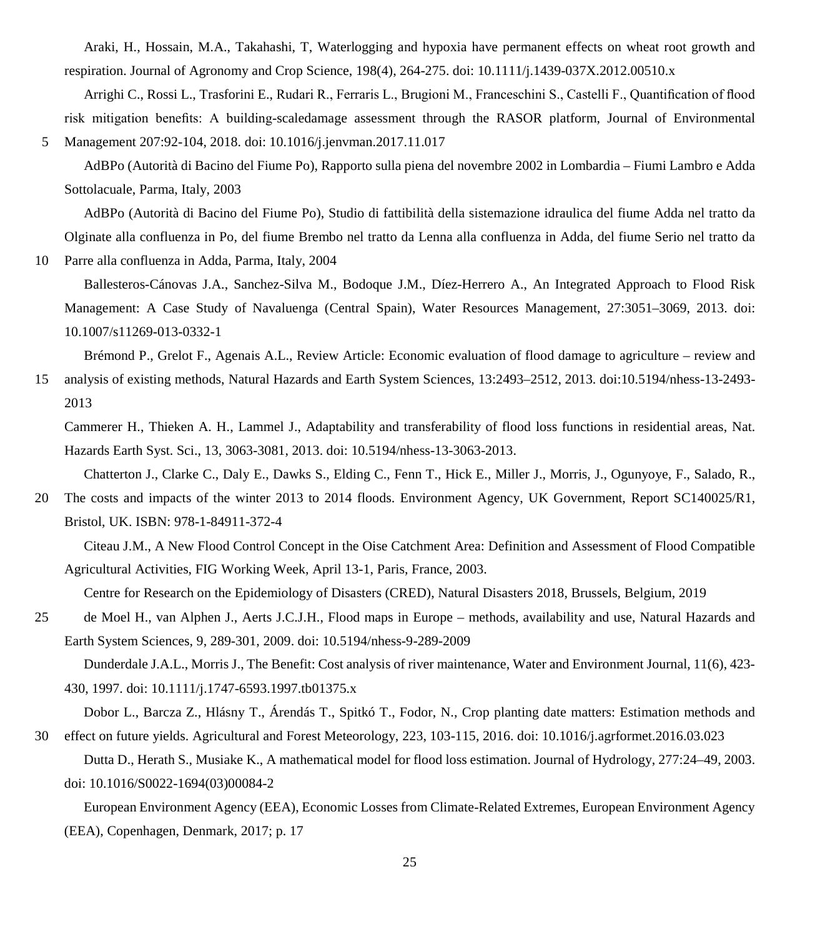Araki, H., Hossain, M.A., Takahashi, T, Waterlogging and hypoxia have permanent effects on wheat root growth and respiration. Journal of Agronomy and Crop Science, 198(4), 264-275. doi: 10.1111/j.1439-037X.2012.00510.x

Arrighi C., Rossi L., Trasforini E., Rudari R., Ferraris L., Brugioni M., Franceschini S., Castelli F., Quantification of flood risk mitigation benefits: A building-scaledamage assessment through the RASOR platform, Journal of Environmental 5 Management 207:92-104, 2018. doi: 10.1016/j.jenvman.2017.11.017

AdBPo (Autorità di Bacino del Fiume Po), Rapporto sulla piena del novembre 2002 in Lombardia – Fiumi Lambro e Adda Sottolacuale, Parma, Italy, 2003

AdBPo (Autorità di Bacino del Fiume Po), Studio di fattibilità della sistemazione idraulica del fiume Adda nel tratto da Olginate alla confluenza in Po, del fiume Brembo nel tratto da Lenna alla confluenza in Adda, del fiume Serio nel tratto da

10 Parre alla confluenza in Adda, Parma, Italy, 2004

Ballesteros-Cánovas J.A., Sanchez-Silva M., Bodoque J.M., Díez-Herrero A., An Integrated Approach to Flood Risk Management: A Case Study of Navaluenga (Central Spain), Water Resources Management, 27:3051–3069, 2013. doi: 10.1007/s11269-013-0332-1

Brémond P., Grelot F., Agenais A.L., Review Article: Economic evaluation of flood damage to agriculture – review and 15 analysis of existing methods, Natural Hazards and Earth System Sciences, 13:2493–2512, 2013. doi:10.5194/nhess-13-2493- 2013

Cammerer H., Thieken A. H., Lammel J., Adaptability and transferability of flood loss functions in residential areas, Nat. Hazards Earth Syst. Sci., 13, 3063-3081, 2013. doi: 10.5194/nhess-13-3063-2013.

Chatterton J., Clarke C., Daly E., Dawks S., Elding C., Fenn T., Hick E., Miller J., Morris, J., Ogunyoye, F., Salado, R.,

20 The costs and impacts of the winter 2013 to 2014 floods. Environment Agency, UK Government, Report SC140025/R1, Bristol, UK. ISBN: 978-1-84911-372-4

Citeau J.M., A New Flood Control Concept in the Oise Catchment Area: Definition and Assessment of Flood Compatible Agricultural Activities, FIG Working Week, April 13-1, Paris, France, 2003.

Centre for Research on the Epidemiology of Disasters (CRED), Natural Disasters 2018, Brussels, Belgium, 2019

25 de Moel H., van Alphen J., Aerts J.C.J.H., Flood maps in Europe – methods, availability and use, Natural Hazards and Earth System Sciences, 9, 289-301, 2009. doi: 10.5194/nhess-9-289-2009

Dunderdale J.A.L., Morris J., The Benefit: Cost analysis of river maintenance, Water and Environment Journal, 11(6), 423- 430, 1997. doi: 10.1111/j.1747-6593.1997.tb01375.x

Dobor L., Barcza Z., Hlásny T., Árendás T., Spitkó T., Fodor, N., Crop planting date matters: Estimation methods and 30 effect on future yields. Agricultural and Forest Meteorology, 223, 103-115, 2016. doi: 10.1016/j.agrformet.2016.03.023

Dutta D., Herath S., Musiake K., A mathematical model for flood loss estimation. Journal of Hydrology, 277:24–49, 2003. doi: 10.1016/S0022-1694(03)00084-2

European Environment Agency (EEA), Economic Losses from Climate-Related Extremes, European Environment Agency (EEA), Copenhagen, Denmark, 2017; p. 17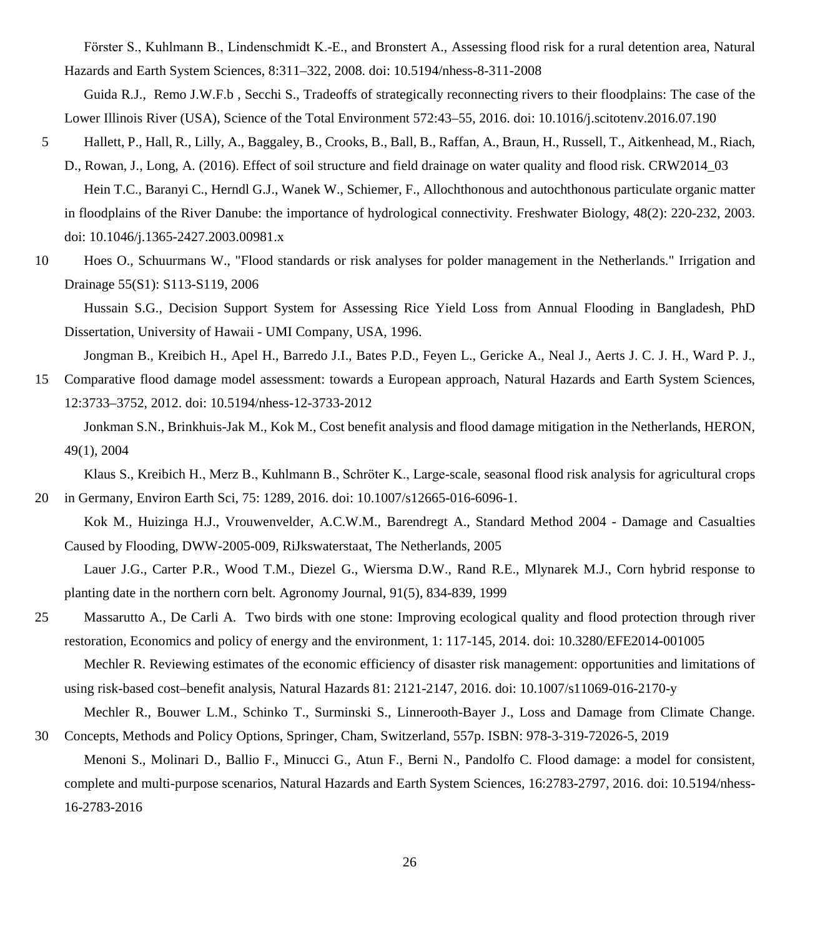Fӧrster S., Kuhlmann B., Lindenschmidt K.-E., and Bronstert A., Assessing flood risk for a rural detention area, Natural Hazards and Earth System Sciences, 8:311–322, 2008. doi: 10.5194/nhess-8-311-2008

Guida R.J., Remo J.W.F.b , Secchi S., Tradeoffs of strategically reconnecting rivers to their floodplains: The case of the Lower Illinois River (USA), Science of the Total Environment 572:43–55, 2016. doi: 10.1016/j.scitotenv.2016.07.190

- 5 Hallett, P., Hall, R., Lilly, A., Baggaley, B., Crooks, B., Ball, B., Raffan, A., Braun, H., Russell, T., Aitkenhead, M., Riach, D., Rowan, J., Long, A. (2016). Effect of soil structure and field drainage on water quality and flood risk. CRW2014\_03 Hein T.C., Baranyi C., Herndl G.J., Wanek W., Schiemer, F., Allochthonous and autochthonous particulate organic matter in floodplains of the River Danube: the importance of hydrological connectivity. Freshwater Biology, 48(2): 220-232, 2003. doi: 10.1046/j.1365-2427.2003.00981.x
- 10 Hoes O., Schuurmans W., "Flood standards or risk analyses for polder management in the Netherlands." Irrigation and Drainage 55(S1): S113-S119, 2006

Hussain S.G., Decision Support System for Assessing Rice Yield Loss from Annual Flooding in Bangladesh, PhD Dissertation, University of Hawaii - UMI Company, USA, 1996.

Jongman B., Kreibich H., Apel H., Barredo J.I., Bates P.D., Feyen L., Gericke A., Neal J., Aerts J. C. J. H., Ward P. J., 15 Comparative flood damage model assessment: towards a European approach, Natural Hazards and Earth System Sciences,

12:3733–3752, 2012. doi: 10.5194/nhess-12-3733-2012

Jonkman S.N., Brinkhuis-Jak M., Kok M., Cost benefit analysis and flood damage mitigation in the Netherlands, HERON, 49(1), 2004

Klaus S., Kreibich H., Merz B., Kuhlmann B., Schröter K., Large-scale, seasonal flood risk analysis for agricultural crops 20 in Germany, Environ Earth Sci, 75: 1289, 2016. doi: 10.1007/s12665-016-6096-1.

Kok M., Huizinga H.J., Vrouwenvelder, A.C.W.M., Barendregt A., Standard Method 2004 - Damage and Casualties Caused by Flooding, DWW-2005-009, RiJkswaterstaat, The Netherlands, 2005

Lauer J.G., Carter P.R., Wood T.M., Diezel G., Wiersma D.W., Rand R.E., Mlynarek M.J., Corn hybrid response to planting date in the northern corn belt. Agronomy Journal, 91(5), 834-839, 1999

25 Massarutto A., De Carli A. Two birds with one stone: Improving ecological quality and flood protection through river restoration, Economics and policy of energy and the environment, 1: 117-145, 2014. doi: 10.3280/EFE2014-001005 Mechler R. Reviewing estimates of the economic efficiency of disaster risk management: opportunities and limitations of using risk-based cost–benefit analysis, Natural Hazards 81: 2121-2147, 2016. doi: 10.1007/s11069-016-2170-y

Mechler R., Bouwer L.M., Schinko T., Surminski S., Linnerooth-Bayer J., Loss and Damage from Climate Change. 30 Concepts, Methods and Policy Options, Springer, Cham, Switzerland, 557p. ISBN: 978-3-319-72026-5, 2019

Menoni S., Molinari D., Ballio F., Minucci G., Atun F., Berni N., Pandolfo C. Flood damage: a model for consistent, complete and multi-purpose scenarios, Natural Hazards and Earth System Sciences, 16:2783-2797, 2016. doi: 10.5194/nhess-16-2783-2016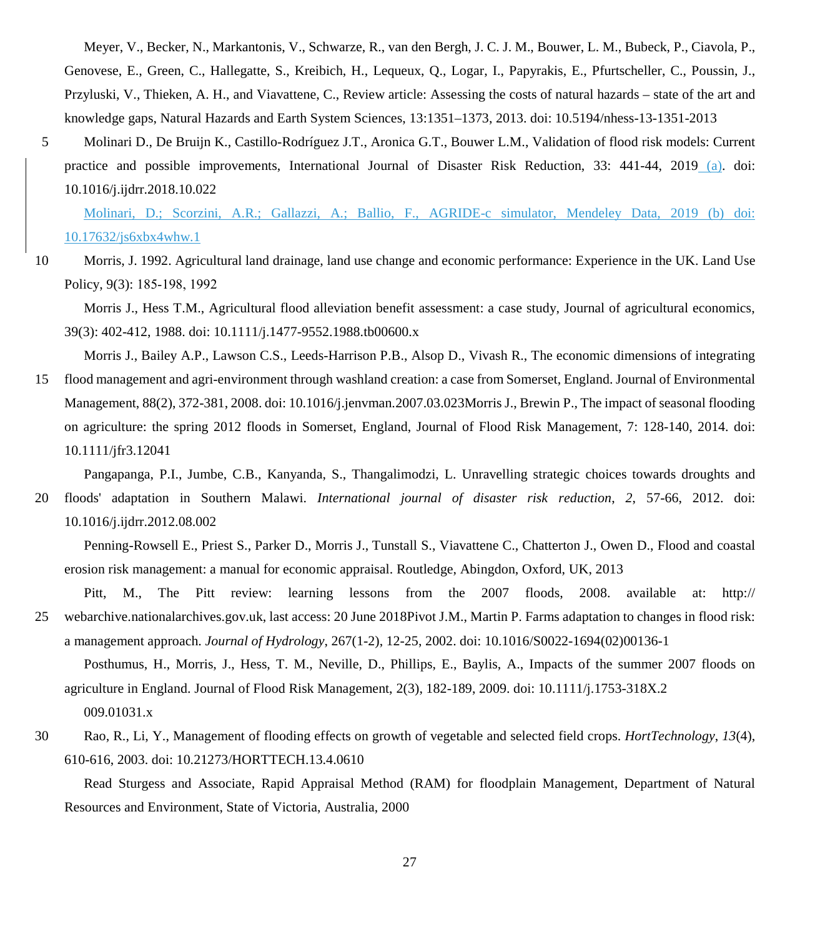Meyer, V., Becker, N., Markantonis, V., Schwarze, R., van den Bergh, J. C. J. M., Bouwer, L. M., Bubeck, P., Ciavola, P., Genovese, E., Green, C., Hallegatte, S., Kreibich, H., Lequeux, Q., Logar, I., Papyrakis, E., Pfurtscheller, C., Poussin, J., Przyluski, V., Thieken, A. H., and Viavattene, C., Review article: Assessing the costs of natural hazards – state of the art and knowledge gaps, Natural Hazards and Earth System Sciences, 13:1351–1373, 2013. doi: 10.5194/nhess-13-1351-2013

5 Molinari D., De Bruijn K., Castillo-Rodríguez J.T., Aronica G.T., Bouwer L.M., Validation of flood risk models: Current practice and possible improvements, International Journal of Disaster Risk Reduction, 33: 441-44, 2019 (a). doi: 10.1016/j.ijdrr.2018.10.022

Molinari, D.; Scorzini, A.R.; Gallazzi, A.; Ballio, F., AGRIDE-c simulator, Mendeley Data, 2019 (b) doi: 10.17632/js6xbx4whw.1

10 Morris, J. 1992. Agricultural land drainage, land use change and economic performance: Experience in the UK. Land Use Policy, 9(3): 185‐198, 1992

Morris J., Hess T.M., Agricultural flood alleviation benefit assessment: a case study, Journal of agricultural economics, 39(3): 402-412, 1988. doi: 10.1111/j.1477-9552.1988.tb00600.x

Morris J., Bailey A.P., Lawson C.S., Leeds-Harrison P.B., Alsop D., Vivash R., The economic dimensions of integrating 15 flood management and agri-environment through washland creation: a case from Somerset, England. Journal of Environmental Management, 88(2), 372-381, 2008. doi: 10.1016/j.jenvman.2007.03.023Morris J., Brewin P., The impact of seasonal flooding on agriculture: the spring 2012 floods in Somerset, England, Journal of Flood Risk Management, 7: 128-140, 2014. doi:

10.1111/jfr3.12041

Pangapanga, P.I., Jumbe, C.B., Kanyanda, S., Thangalimodzi, L. Unravelling strategic choices towards droughts and

20 floods' adaptation in Southern Malawi. *International journal of disaster risk reduction*, *2*, 57-66, 2012. doi: 10.1016/j.ijdrr.2012.08.002

Penning-Rowsell E., Priest S., Parker D., Morris J., Tunstall S., Viavattene C., Chatterton J., Owen D., Flood and coastal erosion risk management: a manual for economic appraisal. Routledge, Abingdon, Oxford, UK, 2013

Pitt, M., The Pitt review: learning lessons from the 2007 floods, 2008. available at: http:// 25 webarchive.nationalarchives.gov.uk, last access: 20 June 2018Pivot J.M., Martin P. Farms adaptation to changes in flood risk: a management approach. *Journal of Hydrology*, 267(1-2), 12-25, 2002. doi: 10.1016/S0022-1694(02)00136-1

Posthumus, H., Morris, J., Hess, T. M., Neville, D., Phillips, E., Baylis, A., Impacts of the summer 2007 floods on agriculture in England. Journal of Flood Risk Management, 2(3), 182-189, 2009. doi: 10.1111/j.1753-318X.2 009.01031.x

30 Rao, R., Li, Y., Management of flooding effects on growth of vegetable and selected field crops. *HortTechnology*, *13*(4), 610-616, 2003. doi: 10.21273/HORTTECH.13.4.0610

Read Sturgess and Associate, Rapid Appraisal Method (RAM) for floodplain Management, Department of Natural Resources and Environment, State of Victoria, Australia, 2000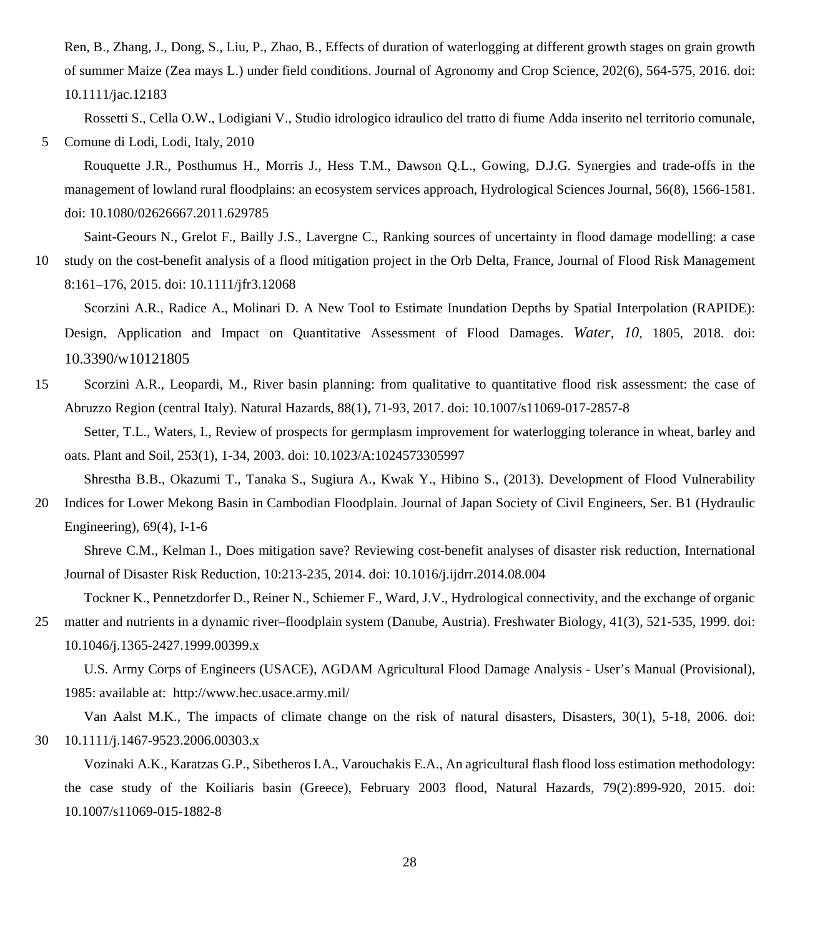Ren, B., Zhang, J., Dong, S., Liu, P., Zhao, B., Effects of duration of waterlogging at different growth stages on grain growth of summer Maize (Zea mays L.) under field conditions. Journal of Agronomy and Crop Science, 202(6), 564-575, 2016. doi: 10.1111/jac.12183

Rossetti S., Cella O.W., Lodigiani V., Studio idrologico idraulico del tratto di fiume Adda inserito nel territorio comunale, 5 Comune di Lodi, Lodi, Italy, 2010

Rouquette J.R., Posthumus H., Morris J., Hess T.M., Dawson Q.L., Gowing, D.J.G. Synergies and trade-offs in the management of lowland rural floodplains: an ecosystem services approach, Hydrological Sciences Journal, 56(8), 1566-1581. doi: 10.1080/02626667.2011.629785

Saint-Geours N., Grelot F., Bailly J.S., Lavergne C., Ranking sources of uncertainty in flood damage modelling: a case 10 study on the cost-benefit analysis of a flood mitigation project in the Orb Delta, France, Journal of Flood Risk Management 8:161–176, 2015. doi: 10.1111/jfr3.12068

Scorzini A.R., Radice A., Molinari D. A New Tool to Estimate Inundation Depths by Spatial Interpolation (RAPIDE): Design, Application and Impact on Quantitative Assessment of Flood Damages. *Water*, *10,* 1805, 2018. doi: 10.3390/w10121805

15 Scorzini A.R., Leopardi, M., River basin planning: from qualitative to quantitative flood risk assessment: the case of Abruzzo Region (central Italy). Natural Hazards, 88(1), 71-93, 2017. doi: 10.1007/s11069-017-2857-8

Setter, T.L., Waters, I., Review of prospects for germplasm improvement for waterlogging tolerance in wheat, barley and oats. Plant and Soil, 253(1), 1-34, 2003. doi: 10.1023/A:1024573305997

Shrestha B.B., Okazumi T., Tanaka S., Sugiura A., Kwak Y., Hibino S., (2013). Development of Flood Vulnerability

20 Indices for Lower Mekong Basin in Cambodian Floodplain. Journal of Japan Society of Civil Engineers, Ser. B1 (Hydraulic Engineering), 69(4), I-1-6

Shreve C.M., Kelman I., Does mitigation save? Reviewing cost-benefit analyses of disaster risk reduction, International Journal of Disaster Risk Reduction, 10:213-235, 2014. doi: 10.1016/j.ijdrr.2014.08.004

Tockner K., Pennetzdorfer D., Reiner N., Schiemer F., Ward, J.V., Hydrological connectivity, and the exchange of organic 25 matter and nutrients in a dynamic river–floodplain system (Danube, Austria). Freshwater Biology, 41(3), 521-535, 1999. doi: 10.1046/j.1365-2427.1999.00399.x

U.S. Army Corps of Engineers (USACE), AGDAM Agricultural Flood Damage Analysis - User's Manual (Provisional), 1985: available at: http://www.hec.usace.army.mil/

Van Aalst M.K., The impacts of climate change on the risk of natural disasters, Disasters, 30(1), 5-18, 2006. doi: 30 10.1111/j.1467-9523.2006.00303.x

Vozinaki A.K., Karatzas G.P., Sibetheros I.A., Varouchakis E.A., An agricultural flash flood loss estimation methodology: the case study of the Koiliaris basin (Greece), February 2003 flood, Natural Hazards, 79(2):899-920, 2015. doi: 10.1007/s11069-015-1882-8